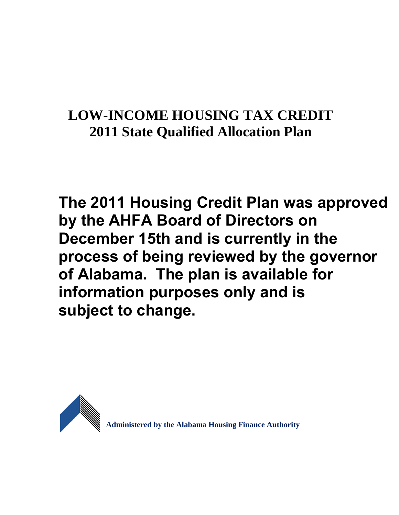# **LOW-INCOME HOUSING TAX CREDIT 2011 State Qualified Allocation Plan**

**The 2011 Housing Credit Plan was approved by the AHFA Board of Directors on December 15th and is currently in the process of being reviewed by the governor of Alabama. The plan is available for information purposes only and is subject to change.** 



**Administered by the Alabama Housing Finance Authority**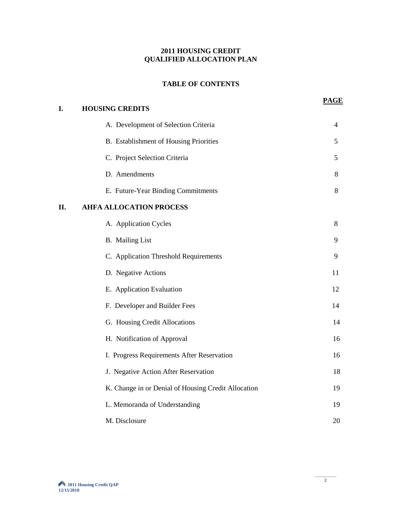# **2011 HOUSING CREDIT QUALIFIED ALLOCATION PLAN**

# **TABLE OF CONTENTS**

**PAGE**

| I.  | <b>HOUSING CREDITS</b>                              |    |
|-----|-----------------------------------------------------|----|
|     | A. Development of Selection Criteria                | 4  |
|     | B. Establishment of Housing Priorities              | 5  |
|     | C. Project Selection Criteria                       | 5  |
|     | D. Amendments                                       | 8  |
|     | E. Future-Year Binding Commitments                  | 8  |
| II. | <b>AHFA ALLOCATION PROCESS</b>                      |    |
|     | A. Application Cycles                               | 8  |
|     | <b>B.</b> Mailing List                              | 9  |
|     | C. Application Threshold Requirements               | 9  |
|     | D. Negative Actions                                 | 11 |
|     | E. Application Evaluation                           | 12 |
|     | F. Developer and Builder Fees                       | 14 |
|     | G. Housing Credit Allocations                       | 14 |
|     | H. Notification of Approval                         | 16 |
|     | I. Progress Requirements After Reservation          | 16 |
|     | J. Negative Action After Reservation                | 18 |
|     | K. Change in or Denial of Housing Credit Allocation | 19 |
|     | L. Memoranda of Understanding                       | 19 |
|     | M. Disclosure                                       | 20 |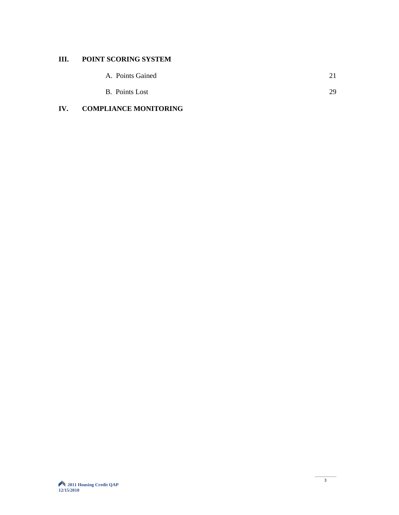# **III. POINT SCORING SYSTEM**

| A. Points Gained |  |
|------------------|--|
|                  |  |

| <b>B.</b> Points Lost |  |
|-----------------------|--|

# **IV. COMPLIANCE MONITORING**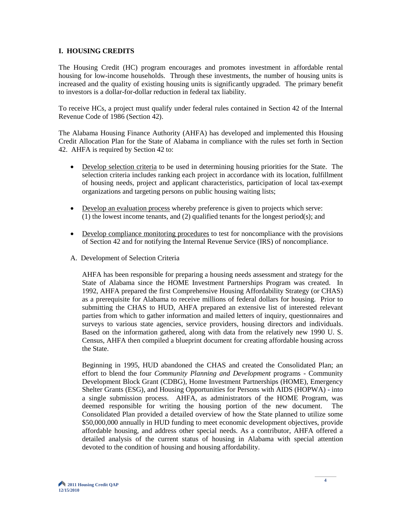#### **I. HOUSING CREDITS**

The Housing Credit (HC) program encourages and promotes investment in affordable rental housing for low-income households. Through these investments, the number of housing units is increased and the quality of existing housing units is significantly upgraded. The primary benefit to investors is a dollar-for-dollar reduction in federal tax liability.

To receive HCs, a project must qualify under federal rules contained in Section 42 of the Internal Revenue Code of 1986 (Section 42).

The Alabama Housing Finance Authority (AHFA) has developed and implemented this Housing Credit Allocation Plan for the State of Alabama in compliance with the rules set forth in Section 42. AHFA is required by Section 42 to:

- Develop selection criteria to be used in determining housing priorities for the State. The selection criteria includes ranking each project in accordance with its location, fulfillment of housing needs, project and applicant characteristics, participation of local tax-exempt organizations and targeting persons on public housing waiting lists;
- Develop an evaluation process whereby preference is given to projects which serve: (1) the lowest income tenants, and (2) qualified tenants for the longest period(s); and
- Develop compliance monitoring procedures to test for noncompliance with the provisions of Section 42 and for notifying the Internal Revenue Service (IRS) of noncompliance.
- A. Development of Selection Criteria

AHFA has been responsible for preparing a housing needs assessment and strategy for the State of Alabama since the HOME Investment Partnerships Program was created. In 1992, AHFA prepared the first Comprehensive Housing Affordability Strategy (or CHAS) as a prerequisite for Alabama to receive millions of federal dollars for housing. Prior to submitting the CHAS to HUD, AHFA prepared an extensive list of interested relevant parties from which to gather information and mailed letters of inquiry, questionnaires and surveys to various state agencies, service providers, housing directors and individuals. Based on the information gathered, along with data from the relatively new 1990 U. S. Census, AHFA then compiled a blueprint document for creating affordable housing across the State.

Beginning in 1995, HUD abandoned the CHAS and created the Consolidated Plan; an effort to blend the four *Community Planning and Development* programs - Community Development Block Grant (CDBG), Home Investment Partnerships (HOME), Emergency Shelter Grants (ESG), and Housing Opportunities for Persons with AIDS (HOPWA) - into a single submission process. AHFA, as administrators of the HOME Program, was deemed responsible for writing the housing portion of the new document. The Consolidated Plan provided a detailed overview of how the State planned to utilize some \$50,000,000 annually in HUD funding to meet economic development objectives, provide affordable housing, and address other special needs. As a contributor, AHFA offered a detailed analysis of the current status of housing in Alabama with special attention devoted to the condition of housing and housing affordability.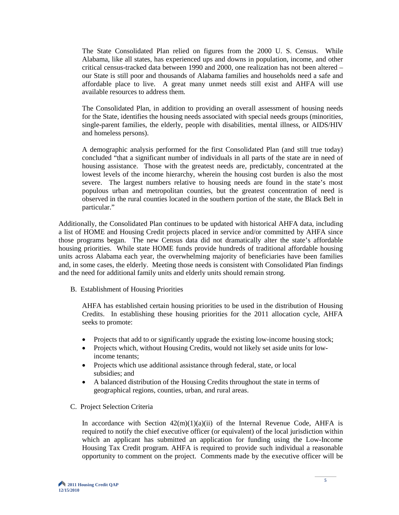The State Consolidated Plan relied on figures from the 2000 U. S. Census. While Alabama, like all states, has experienced ups and downs in population, income, and other critical census-tracked data between 1990 and 2000, one realization has not been altered – our State is still poor and thousands of Alabama families and households need a safe and affordable place to live. A great many unmet needs still exist and AHFA will use available resources to address them.

The Consolidated Plan, in addition to providing an overall assessment of housing needs for the State, identifies the housing needs associated with special needs groups (minorities, single-parent families, the elderly, people with disabilities, mental illness, or AIDS/HIV and homeless persons).

A demographic analysis performed for the first Consolidated Plan (and still true today) concluded "that a significant number of individuals in all parts of the state are in need of housing assistance. Those with the greatest needs are, predictably, concentrated at the lowest levels of the income hierarchy, wherein the housing cost burden is also the most severe. The largest numbers relative to housing needs are found in the state's most populous urban and metropolitan counties, but the greatest concentration of need is observed in the rural counties located in the southern portion of the state, the Black Belt in particular."

Additionally, the Consolidated Plan continues to be updated with historical AHFA data, including a list of HOME and Housing Credit projects placed in service and/or committed by AHFA since those programs began. The new Census data did not dramatically alter the state's affordable housing priorities. While state HOME funds provide hundreds of traditional affordable housing units across Alabama each year, the overwhelming majority of beneficiaries have been families and, in some cases, the elderly. Meeting those needs is consistent with Consolidated Plan findings and the need for additional family units and elderly units should remain strong.

B. Establishment of Housing Priorities

AHFA has established certain housing priorities to be used in the distribution of Housing Credits. In establishing these housing priorities for the 2011 allocation cycle, AHFA seeks to promote:

- Projects that add to or significantly upgrade the existing low-income housing stock;
- Projects which, without Housing Credits, would not likely set aside units for lowincome tenants;
- Projects which use additional assistance through federal, state, or local subsidies; and
- A balanced distribution of the Housing Credits throughout the state in terms of geographical regions, counties, urban, and rural areas.
- C. Project Selection Criteria

In accordance with Section  $42(m)(1)(a)(ii)$  of the Internal Revenue Code, AHFA is required to notify the chief executive officer (or equivalent) of the local jurisdiction within which an applicant has submitted an application for funding using the Low-Income Housing Tax Credit program. AHFA is required to provide such individual a reasonable opportunity to comment on the project. Comments made by the executive officer will be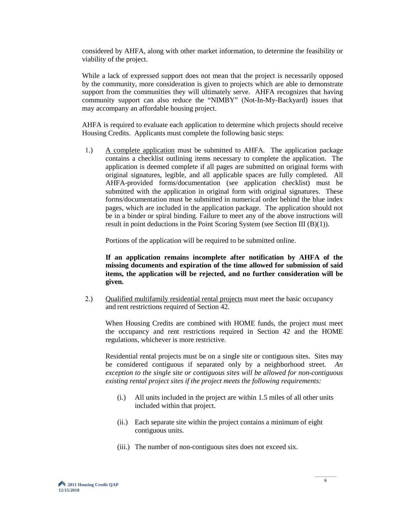considered by AHFA, along with other market information, to determine the feasibility or viability of the project.

While a lack of expressed support does not mean that the project is necessarily opposed by the community, more consideration is given to projects which are able to demonstrate support from the communities they will ultimately serve. AHFA recognizes that having community support can also reduce the "NIMBY" (Not-In-My-Backyard) issues that may accompany an affordable housing project.

AHFA is required to evaluate each application to determine which projects should receive Housing Credits. Applicants must complete the following basic steps:

1.) A complete application must be submitted to AHFA. The application package contains a checklist outlining items necessary to complete the application. The application is deemed complete if all pages are submitted on original forms with original signatures, legible, and all applicable spaces are fully completed. All AHFA-provided forms/documentation (see application checklist) must be submitted with the application in original form with original signatures. These forms/documentation must be submitted in numerical order behind the blue index pages, which are included in the application package. The application should not be in a binder or spiral binding. Failure to meet any of the above instructions will result in point deductions in the Point Scoring System (see Section III (B)(1)).

Portions of the application will be required to be submitted online.

 **If an application remains incomplete after notification by AHFA of the missing documents and expiration of the time allowed for submission of said items, the application will be rejected, and no further consideration will be given.** 

2.) Qualified multifamily residential rental projects must meet the basic occupancy and rent restrictions required of Section 42.

When Housing Credits are combined with HOME funds, the project must meet the occupancy and rent restrictions required in Section 42 and the HOME regulations, whichever is more restrictive.

Residential rental projects must be on a single site or contiguous sites. Sites may be considered contiguous if separated only by a neighborhood street. *An exception to the single site or contiguous sites will be allowed for non-contiguous existing rental project sites if the project meets the following requirements:*

- (i.) All units included in the project are within 1.5 miles of all other units included within that project.
- (ii.) Each separate site within the project contains a minimum of eight contiguous units.
- (iii.) The number of non-contiguous sites does not exceed six.

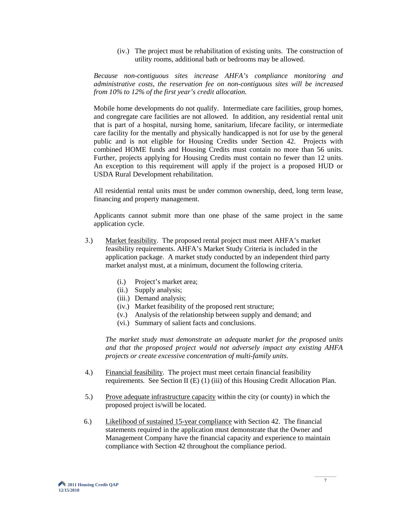(iv.) The project must be rehabilitation of existing units. The construction of utility rooms, additional bath or bedrooms may be allowed.

*Because non-contiguous sites increase AHFA's compliance monitoring and administrative costs, the reservation fee on non-contiguous sites will be increased from 10% to 12% of the first year's credit allocation.*

Mobile home developments do not qualify. Intermediate care facilities, group homes, and congregate care facilities are not allowed. In addition, any residential rental unit that is part of a hospital, nursing home, sanitarium, lifecare facility, or intermediate care facility for the mentally and physically handicapped is not for use by the general public and is not eligible for Housing Credits under Section 42. Projects with combined HOME funds and Housing Credits must contain no more than 56 units. Further, projects applying for Housing Credits must contain no fewer than 12 units. An exception to this requirement will apply if the project is a proposed HUD or USDA Rural Development rehabilitation.

All residential rental units must be under common ownership, deed, long term lease, financing and property management.

Applicants cannot submit more than one phase of the same project in the same application cycle.

- 3.) Market feasibility. The proposed rental project must meet AHFA's market feasibility requirements. AHFA's Market Study Criteria is included in the application package. A market study conducted by an independent third party market analyst must, at a minimum, document the following criteria.
	- (i.) Project's market area;
	- (ii.) Supply analysis;
	- (iii.) Demand analysis;
	- (iv.) Market feasibility of the proposed rent structure;
	- (v.) Analysis of the relationship between supply and demand; and
	- (vi.) Summary of salient facts and conclusions.

*The market study must demonstrate an adequate market for the proposed units and that the proposed project would not adversely impact any existing AHFA projects or create excessive concentration of multi-family units.* 

- 4.) Financial feasibility. The project must meet certain financial feasibility requirements. See Section II (E) (1) (iii) of this Housing Credit Allocation Plan.
- 5.) Prove adequate infrastructure capacity within the city (or county) in which the proposed project is/will be located.
- 6.) Likelihood of sustained 15-year compliance with Section 42. The financial statements required in the application must demonstrate that the Owner and Management Company have the financial capacity and experience to maintain compliance with Section 42 throughout the compliance period.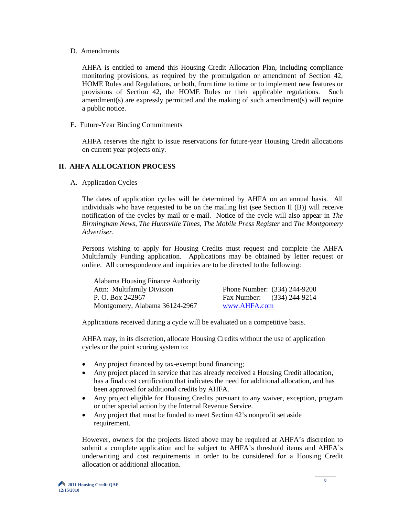#### D. Amendments

AHFA is entitled to amend this Housing Credit Allocation Plan, including compliance monitoring provisions, as required by the promulgation or amendment of Section 42, HOME Rules and Regulations, or both, from time to time or to implement new features or provisions of Section 42, the HOME Rules or their applicable regulations. Such amendment(s) are expressly permitted and the making of such amendment(s) will require a public notice.

E. Future-Year Binding Commitments

AHFA reserves the right to issue reservations for future-year Housing Credit allocations on current year projects only.

### **II. AHFA ALLOCATION PROCESS**

A. Application Cycles

The dates of application cycles will be determined by AHFA on an annual basis. All individuals who have requested to be on the mailing list (see Section II (B)) will receive notification of the cycles by mail or e-mail. Notice of the cycle will also appear in *The Birmingham News*, *The Huntsville Times*, *The Mobile Press Register* and *The Montgomery Advertiser*.

Persons wishing to apply for Housing Credits must request and complete the AHFA Multifamily Funding application. Applications may be obtained by letter request or online. All correspondence and inquiries are to be directed to the following:

| Alabama Housing Finance Authority |                              |  |
|-----------------------------------|------------------------------|--|
| <b>Attn: Multifamily Division</b> | Phone Number: (334) 244-9200 |  |
| P. O. Box 242967                  | Fax Number: (334) 244-9214   |  |
| Montgomery, Alabama 36124-2967    | www.AHFA.com                 |  |

Applications received during a cycle will be evaluated on a competitive basis.

AHFA may, in its discretion, allocate Housing Credits without the use of application cycles or the point scoring system to:

- Any project financed by tax-exempt bond financing;
- Any project placed in service that has already received a Housing Credit allocation, has a final cost certification that indicates the need for additional allocation, and has been approved for additional credits by AHFA.
- Any project eligible for Housing Credits pursuant to any waiver, exception, program or other special action by the Internal Revenue Service.
- Any project that must be funded to meet Section 42's nonprofit set aside requirement.

However, owners for the projects listed above may be required at AHFA's discretion to submit a complete application and be subject to AHFA's threshold items and AHFA's underwriting and cost requirements in order to be considered for a Housing Credit allocation or additional allocation.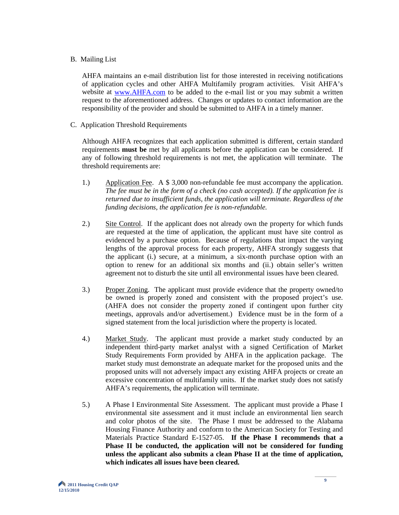#### B. Mailing List

AHFA maintains an e-mail distribution list for those interested in receiving notifications of application cycles and other AHFA Multifamily program activities. Visit AHFA's website at [www.AHFA.com](http://www.ahfa.com/) to be added to the e-mail list or you may submit a written request to the aforementioned address. Changes or updates to contact information are the responsibility of the provider and should be submitted to AHFA in a timely manner.

C. Application Threshold Requirements

Although AHFA recognizes that each application submitted is different, certain standard requirements **must be** met by all applicants before the application can be considered. If any of following threshold requirements is not met, the application will terminate. The threshold requirements are:

- 1.) Application Fee. A \$ 3,000 non-refundable fee must accompany the application. *The fee must be in the form of a check (no cash accepted). If the application fee is returned due to insufficient funds, the application will terminate. Regardless of the funding decisions, the application fee is non-refundable.*
- 2.) Site Control. If the applicant does not already own the property for which funds are requested at the time of application, the applicant must have site control as evidenced by a purchase option. Because of regulations that impact the varying lengths of the approval process for each property, AHFA strongly suggests that the applicant (i.) secure, at a minimum, a six-month purchase option with an option to renew for an additional six months and (ii.) obtain seller's written agreement not to disturb the site until all environmental issues have been cleared.
- 3.) Proper Zoning. The applicant must provide evidence that the property owned/to be owned is properly zoned and consistent with the proposed project's use. (AHFA does not consider the property zoned if contingent upon further city meetings, approvals and/or advertisement.) Evidence must be in the form of a signed statement from the local jurisdiction where the property is located.
- 4.) Market Study. The applicant must provide a market study conducted by an independent third-party market analyst with a signed Certification of Market Study Requirements Form provided by AHFA in the application package. The market study must demonstrate an adequate market for the proposed units and the proposed units will not adversely impact any existing AHFA projects or create an excessive concentration of multifamily units. If the market study does not satisfy AHFA's requirements, the application will terminate.
- 5.) A Phase I Environmental Site Assessment. The applicant must provide a Phase I environmental site assessment and it must include an environmental lien search and color photos of the site. The Phase I must be addressed to the Alabama Housing Finance Authority and conform to the American Society for Testing and Materials Practice Standard E-1527-05. **If the Phase I recommends that a Phase II be conducted, the application will not be considered for funding unless the applicant also submits a clean Phase II at the time of application, which indicates all issues have been cleared.**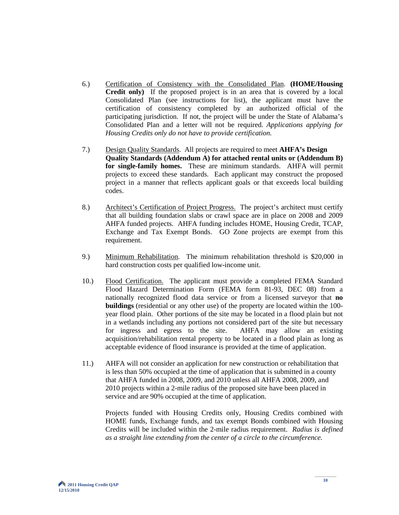- 6.) Certification of Consistency with the Consolidated Plan. **(HOME/Housing Credit only)** If the proposed project is in an area that is covered by a local Consolidated Plan (see instructions for list), the applicant must have the certification of consistency completed by an authorized official of the participating jurisdiction. If not, the project will be under the State of Alabama's Consolidated Plan and a letter will not be required. *Applications applying for Housing Credits only do not have to provide certification.*
- 7.) Design Quality Standards. All projects are required to meet **AHFA's Design Quality Standards (Addendum A) for attached rental units or (Addendum B) for single-family homes.** These are minimum standards. AHFA will permit projects to exceed these standards. Each applicant may construct the proposed project in a manner that reflects applicant goals or that exceeds local building codes.
- 8.) Architect's Certification of Project Progress. The project's architect must certify that all building foundation slabs or crawl space are in place on 2008 and 2009 AHFA funded projects. AHFA funding includes HOME, Housing Credit, TCAP, Exchange and Tax Exempt Bonds. GO Zone projects are exempt from this requirement.
- 9.) Minimum Rehabilitation. The minimum rehabilitation threshold is \$20,000 in hard construction costs per qualified low-income unit.
- 10.) Flood Certification. The applicant must provide a completed FEMA Standard Flood Hazard Determination Form (FEMA form 81-93, DEC 08) from a nationally recognized flood data service or from a licensed surveyor that **no buildings** (residential or any other use) of the property are located within the 100 year flood plain. Other portions of the site may be located in a flood plain but not in a wetlands including any portions not considered part of the site but necessary for ingress and egress to the site. AHFA may allow an existing acquisition/rehabilitation rental property to be located in a flood plain as long as acceptable evidence of flood insurance is provided at the time of application.
- 11.) AHFA will not consider an application for new construction or rehabilitation that is less than 50% occupied at the time of application that is submitted in a county that AHFA funded in 2008, 2009, and 2010 unless all AHFA 2008, 2009, and 2010 projects within a 2-mile radius of the proposed site have been placed in service and are 90% occupied at the time of application.

Projects funded with Housing Credits only, Housing Credits combined with HOME funds, Exchange funds, and tax exempt Bonds combined with Housing Credits will be included within the 2-mile radius requirement. *Radius is defined as a straight line extending from the center of a circle to the circumference.*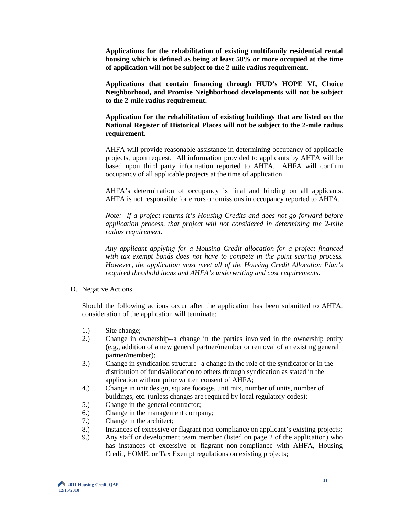**Applications for the rehabilitation of existing multifamily residential rental housing which is defined as being at least 50% or more occupied at the time of application will not be subject to the 2-mile radius requirement.**

**Applications that contain financing through HUD's HOPE VI, Choice Neighborhood, and Promise Neighborhood developments will not be subject to the 2-mile radius requirement.**

**Application for the rehabilitation of existing buildings that are listed on the National Register of Historical Places will not be subject to the 2-mile radius requirement.**

AHFA will provide reasonable assistance in determining occupancy of applicable projects, upon request. All information provided to applicants by AHFA will be based upon third party information reported to AHFA. AHFA will confirm occupancy of all applicable projects at the time of application.

AHFA's determination of occupancy is final and binding on all applicants. AHFA is not responsible for errors or omissions in occupancy reported to AHFA.

*Note: If a project returns it's Housing Credits and does not go forward before application process, that project will not considered in determining the 2-mile radius requirement.*

*Any applicant applying for a Housing Credit allocation for a project financed with tax exempt bonds does not have to compete in the point scoring process. However, the application must meet all of the Housing Credit Allocation Plan's required threshold items and AHFA's underwriting and cost requirements.*

D. Negative Actions

Should the following actions occur after the application has been submitted to AHFA, consideration of the application will terminate:

- 1.) Site change;
- 2.) Change in ownership--a change in the parties involved in the ownership entity (e.g., addition of a new general partner**/**member or removal of an existing general partner**/**member);
- 3.) Change in syndication structure--a change in the role of the syndicator or in the distribution of funds/allocation to others through syndication as stated in the application without prior written consent of AHFA;
- 4.) Change in unit design, square footage, unit mix, number of units, number of buildings, etc. (unless changes are required by local regulatory codes);
- 5.) Change in the general contractor;
- 6.) Change in the management company;
- 7.) Change in the architect;
- 8.) Instances of excessive or flagrant non-compliance on applicant's existing projects;
- 9.) Any staff or development team member (listed on page 2 of the application) who has instances of excessive or flagrant non-compliance with AHFA, Housing Credit, HOME, or Tax Exempt regulations on existing projects;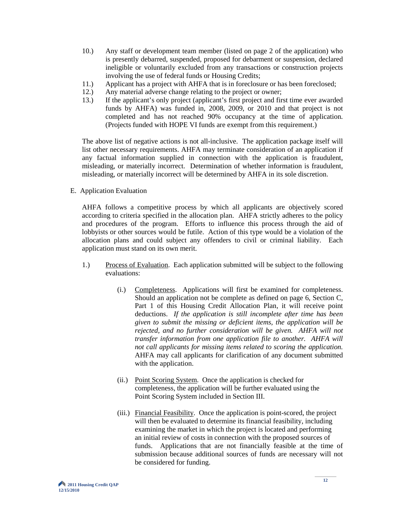- 10.) Any staff or development team member (listed on page 2 of the application) who is presently debarred, suspended, proposed for debarment or suspension, declared ineligible or voluntarily excluded from any transactions or construction projects involving the use of federal funds or Housing Credits;
- 11.) Applicant has a project with AHFA that is in foreclosure or has been foreclosed;
- 12.) Any material adverse change relating to the project or owner;<br>13.) If the applicant's only project (applicant's first project and fire
- 13.) If the applicant's only project (applicant's first project and first time ever awarded funds by AHFA) was funded in, 2008, 2009, or 2010 and that project is not completed and has not reached 90% occupancy at the time of application. (Projects funded with HOPE VI funds are exempt from this requirement.)

The above list of negative actions is not all-inclusive. The application package itself will list other necessary requirements. AHFA may terminate consideration of an application if any factual information supplied in connection with the application is fraudulent, misleading, or materially incorrect. Determination of whether information is fraudulent, misleading, or materially incorrect will be determined by AHFA in its sole discretion.

E. Application Evaluation

AHFA follows a competitive process by which all applicants are objectively scored according to criteria specified in the allocation plan. AHFA strictly adheres to the policy and procedures of the program. Efforts to influence this process through the aid of lobbyists or other sources would be futile. Action of this type would be a violation of the allocation plans and could subject any offenders to civil or criminal liability. Each application must stand on its own merit.

- 1.) Process of Evaluation. Each application submitted will be subject to the following evaluations:
	- (i.) Completeness. Applications will first be examined for completeness. Should an application not be complete as defined on page 6, Section C, Part 1 of this Housing Credit Allocation Plan, it will receive point deductions. *If the application is still incomplete after time has been given to submit the missing or deficient items, the application will be rejected, and no further consideration will be given. AHFA will not transfer information from one application file to another. AHFA will not call applicants for missing items related to scoring the application.* AHFA may call applicants for clarification of any document submitted with the application.
	- (ii.) Point Scoring System. Once the application is checked for completeness, the application will be further evaluated using the Point Scoring System included in Section III.
	- (iii.) Financial Feasibility. Once the application is point-scored, the project will then be evaluated to determine its financial feasibility, including examining the market in which the project is located and performing an initial review of costs in connection with the proposed sources of funds. Applications that are not financially feasible at the time of submission because additional sources of funds are necessary will not be considered for funding.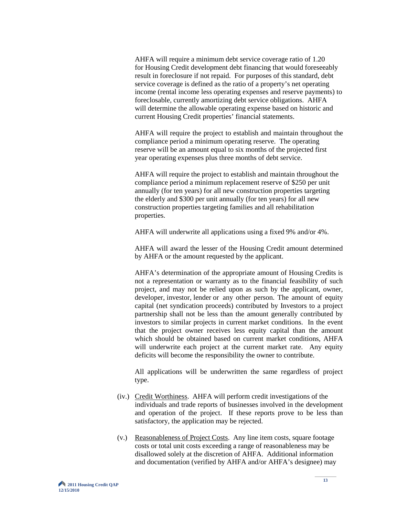AHFA will require a minimum debt service coverage ratio of 1.20 for Housing Credit development debt financing that would foreseeably result in foreclosure if not repaid. For purposes of this standard, debt service coverage is defined as the ratio of a property's net operating income (rental income less operating expenses and reserve payments) to foreclosable, currently amortizing debt service obligations. AHFA will determine the allowable operating expense based on historic and current Housing Credit properties' financial statements.

 AHFA will require the project to establish and maintain throughout the compliance period a minimum operating reserve. The operating reserve will be an amount equal to six months of the projected first year operating expenses plus three months of debt service.

 AHFA will require the project to establish and maintain throughout the compliance period a minimum replacement reserve of \$250 per unit annually (for ten years) for all new construction properties targeting the elderly and \$300 per unit annually (for ten years) for all new construction properties targeting families and all rehabilitation properties.

AHFA will underwrite all applications using a fixed 9% and/or 4%.

AHFA will award the lesser of the Housing Credit amount determined by AHFA or the amount requested by the applicant.

AHFA's determination of the appropriate amount of Housing Credits is not a representation or warranty as to the financial feasibility of such project, and may not be relied upon as such by the applicant, owner, developer, investor, lender or any other person. The amount of equity capital (net syndication proceeds) contributed by Investors to a project partnership shall not be less than the amount generally contributed by investors to similar projects in current market conditions. In the event that the project owner receives less equity capital than the amount which should be obtained based on current market conditions, AHFA will underwrite each project at the current market rate. Any equity deficits will become the responsibility the owner to contribute.

All applications will be underwritten the same regardless of project type.

- (iv.) Credit Worthiness. AHFA will perform credit investigations of the individuals and trade reports of businesses involved in the development and operation of the project. If these reports prove to be less than satisfactory, the application may be rejected.
- (v.) Reasonableness of Project Costs. Any line item costs, square footage costs or total unit costs exceeding a range of reasonableness may be disallowed solely at the discretion of AHFA. Additional information and documentation (verified by AHFA and/or AHFA's designee) may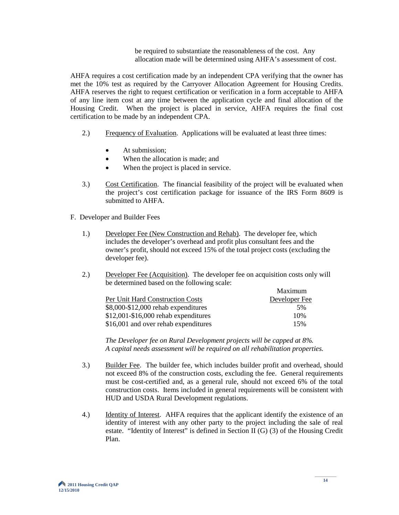be required to substantiate the reasonableness of the cost. Any allocation made will be determined using AHFA's assessment of cost.

AHFA requires a cost certification made by an independent CPA verifying that the owner has met the 10% test as required by the Carryover Allocation Agreement for Housing Credits. AHFA reserves the right to request certification or verification in a form acceptable to AHFA of any line item cost at any time between the application cycle and final allocation of the Housing Credit. When the project is placed in service, AHFA requires the final cost certification to be made by an independent CPA.

- 2.) Frequency of Evaluation. Applications will be evaluated at least three times:
	- At submission:
	- When the allocation is made; and
	- When the project is placed in service.
- 3.) Cost Certification. The financial feasibility of the project will be evaluated when the project's cost certification package for issuance of the IRS Form 8609 is submitted to AHFA.
- F. Developer and Builder Fees
	- 1.) Developer Fee (New Construction and Rehab). The developer fee, which includes the developer's overhead and profit plus consultant fees and the owner's profit, should not exceed 15% of the total project costs (excluding the developer fee).
	- 2.) Developer Fee (Acquisition). The developer fee on acquisition costs only will be determined based on the following scale:

|                                        | Maximum       |
|----------------------------------------|---------------|
| Per Unit Hard Construction Costs       | Developer Fee |
| \$8,000-\$12,000 rehab expenditures    | .5%           |
| $$12,001 - $16,000$ rehab expenditures | 10%           |
| \$16,001 and over rehab expenditures   | 15%           |

 *The Developer fee on Rural Development projects will be capped at 8%. A capital needs assessment will be required on all rehabilitation properties.* 

- 3.) Builder Fee. The builder fee, which includes builder profit and overhead, should not exceed 8% of the construction costs, excluding the fee. General requirements must be cost-certified and, as a general rule, should not exceed 6% of the total construction costs. Items included in general requirements will be consistent with HUD and USDA Rural Development regulations.
- 4.) Identity of Interest. AHFA requires that the applicant identify the existence of an identity of interest with any other party to the project including the sale of real estate. "Identity of Interest" is defined in Section II (G) (3) of the Housing Credit Plan.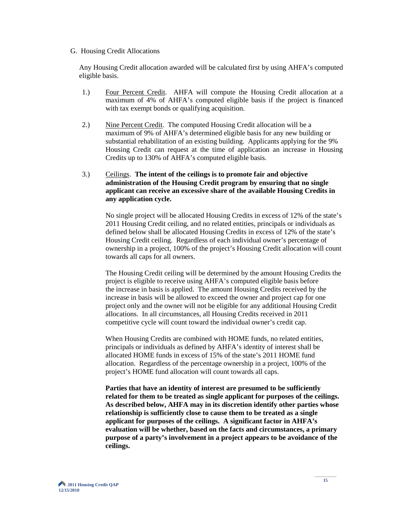#### G. Housing Credit Allocations

Any Housing Credit allocation awarded will be calculated first by using AHFA's computed eligible basis.

- 1.) Four Percent Credit. AHFA will compute the Housing Credit allocation at a maximum of 4% of AHFA's computed eligible basis if the project is financed with tax exempt bonds or qualifying acquisition.
- 2.) Nine Percent Credit. The computed Housing Credit allocation will be a maximum of 9% of AHFA's determined eligible basis for any new building or substantial rehabilitation of an existing building. Applicants applying for the 9% Housing Credit can request at the time of application an increase in Housing Credits up to 130% of AHFA's computed eligible basis.

#### 3.) Ceilings. **The intent of the ceilings is to promote fair and objective administration of the Housing Credit program by ensuring that no single applicant can receive an excessive share of the available Housing Credits in any application cycle.**

No single project will be allocated Housing Credits in excess of 12% of the state's 2011 Housing Credit ceiling, and no related entities, principals or individuals as defined below shall be allocated Housing Credits in excess of 12% of the state's Housing Credit ceiling. Regardless of each individual owner's percentage of ownership in a project, 100% of the project's Housing Credit allocation will count towards all caps for all owners.

The Housing Credit ceiling will be determined by the amount Housing Credits the project is eligible to receive using AHFA's computed eligible basis before the increase in basis is applied. The amount Housing Credits received by the increase in basis will be allowed to exceed the owner and project cap for one project only and the owner will not be eligible for any additional Housing Credit allocations. In all circumstances, all Housing Credits received in 2011 competitive cycle will count toward the individual owner's credit cap.

 When Housing Credits are combined with HOME funds, no related entities, principals or individuals as defined by AHFA's identity of interest shall be allocated HOME funds in excess of 15% of the state's 2011 HOME fund allocation. Regardless of the percentage ownership in a project, 100% of the project's HOME fund allocation will count towards all caps.

**Parties that have an identity of interest are presumed to be sufficiently related for them to be treated as single applicant for purposes of the ceilings. As described below, AHFA may in its discretion identify other parties whose relationship is sufficiently close to cause them to be treated as a single applicant for purposes of the ceilings. A significant factor in AHFA's evaluation will be whether, based on the facts and circumstances, a primary purpose of a party's involvement in a project appears to be avoidance of the ceilings.**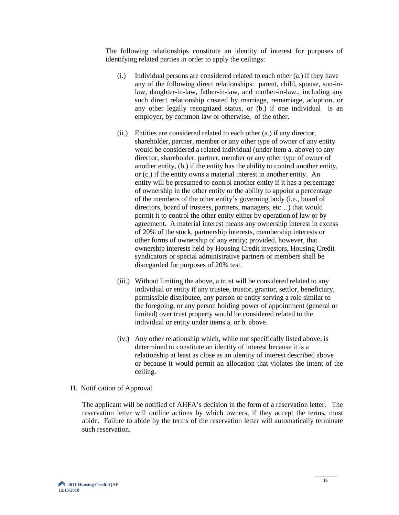The following relationships constitute an identity of interest for purposes of identifying related parties in order to apply the ceilings:

- (i.) Individual persons are considered related to each other (a.) if they have any of the following direct relationships: parent, child, spouse, son-inlaw, daughter-in-law, father-in-law, and mother-in-law., including any such direct relationship created by marriage, remarriage, adoption, or any other legally recognized status, or (b.) if one individual is an employer, by common law or otherwise, of the other.
- (ii.) Entities are considered related to each other (a.) if any director, shareholder, partner, member or any other type of owner of any entity would be considered a related individual (under item a. above) to any director, shareholder, partner, member or any other type of owner of another entity, (b.) if the entity has the ability to control another entity, or (c.) if the entity owns a material interest in another entity. An entity will be presumed to control another entity if it has a percentage of ownership in the other entity or the ability to appoint a percentage of the members of the other entity's governing body (i.e., board of directors, board of trustees, partners, managers, etc…) that would permit it to control the other entity either by operation of law or by agreement. A material interest means any ownership interest in excess of 20% of the stock, partnership interests, membership interests or other forms of ownership of any entity; provided, however, that ownership interests held by Housing Credit investors, Housing Credit syndicators or special administrative partners or members shall be disregarded for purposes of 20% test.
- (iii.) Without limiting the above, a trust will be considered related to any individual or entity if any trustee, trustor, grantor, settlor, beneficiary, permissible distributee, any person or entity serving a role similar to the foregoing, or any person holding power of appointment (general or limited) over trust property would be considered related to the individual or entity under items a. or b. above.
- (iv.) Any other relationship which, while not specifically listed above, is determined to constitute an identity of interest because it is a relationship at least as close as an identity of interest described above or because it would permit an allocation that violates the intent of the ceiling.

#### H. Notification of Approval

The applicant will be notified of AHFA's decision in the form of a reservation letter. The reservation letter will outline actions by which owners, if they accept the terms, must abide. Failure to abide by the terms of the reservation letter will automatically terminate such reservation.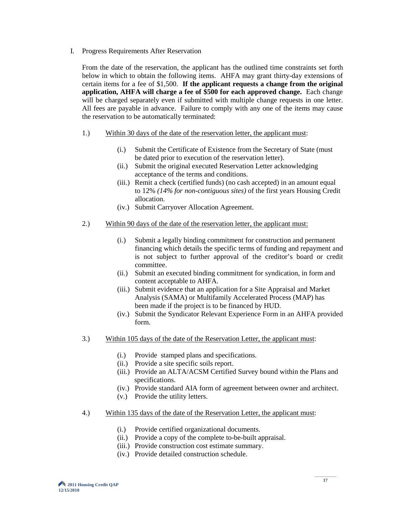I. Progress Requirements After Reservation

From the date of the reservation, the applicant has the outlined time constraints set forth below in which to obtain the following items. AHFA may grant thirty-day extensions of certain items for a fee of \$1,500. **If the applicant requests a change from the original application, AHFA will charge a fee of \$500 for each approved change.** Each change will be charged separately even if submitted with multiple change requests in one letter. All fees are payable in advance. Failure to comply with any one of the items may cause the reservation to be automatically terminated:

- 1.) Within 30 days of the date of the reservation letter, the applicant must:
	- (i.) Submit the Certificate of Existence from the Secretary of State (must be dated prior to execution of the reservation letter).
	- (ii.) Submit the original executed Reservation Letter acknowledging acceptance of the terms and conditions.
	- (iii.) Remit a check (certified funds) (no cash accepted) in an amount equal to 12% *(14% for non-contiguous sites)* of the first years Housing Credit allocation.
	- (iv.) Submit Carryover Allocation Agreement.
- 2.) Within 90 days of the date of the reservation letter, the applicant must:
	- (i.) Submit a legally binding commitment for construction and permanent financing which details the specific terms of funding and repayment and is not subject to further approval of the creditor's board or credit committee.
	- (ii.) Submit an executed binding commitment for syndication, in form and content acceptable to AHFA.
	- (iii.) Submit evidence that an application for a Site Appraisal and Market Analysis (SAMA) or Multifamily Accelerated Process (MAP) has been made if the project is to be financed by HUD.
	- (iv.) Submit the Syndicator Relevant Experience Form in an AHFA provided form.
- 3.) Within 105 days of the date of the Reservation Letter, the applicant must:
	- (i.) Provide stamped plans and specifications.
	- (ii.) Provide a site specific soils report.
	- (iii.) Provide an ALTA/ACSM Certified Survey bound within the Plans and specifications.
	- (iv.) Provide standard AIA form of agreement between owner and architect.
	- (v.) Provide the utility letters.
- 4.) Within 135 days of the date of the Reservation Letter, the applicant must:
	- (i.) Provide certified organizational documents.
	- (ii.) Provide a copy of the complete to-be-built appraisal.
	- (iii.) Provide construction cost estimate summary.
	- (iv.) Provide detailed construction schedule.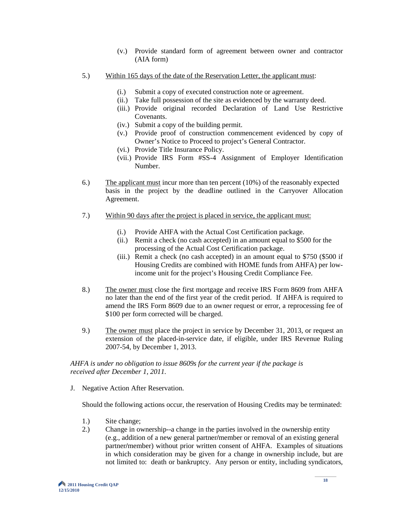- (v.) Provide standard form of agreement between owner and contractor (AIA form)
- 5.) Within 165 days of the date of the Reservation Letter, the applicant must:
	- (i.) Submit a copy of executed construction note or agreement.
	- (ii.) Take full possession of the site as evidenced by the warranty deed.
	- (iii.) Provide original recorded Declaration of Land Use Restrictive Covenants.
	- (iv.) Submit a copy of the building permit.
	- (v.) Provide proof of construction commencement evidenced by copy of Owner's Notice to Proceed to project's General Contractor.
	- (vi.) Provide Title Insurance Policy.
	- (vii.) Provide IRS Form #SS-4 Assignment of Employer Identification Number.
- 6.) The applicant must incur more than ten percent (10%) of the reasonably expected basis in the project by the deadline outlined in the Carryover Allocation Agreement.
- 7.) Within 90 days after the project is placed in service, the applicant must:
	- (i.) Provide AHFA with the Actual Cost Certification package.
	- (ii.) Remit a check (no cash accepted) in an amount equal to \$500 for the processing of the Actual Cost Certification package.
	- (iii.) Remit a check (no cash accepted) in an amount equal to \$750 (\$500 if Housing Credits are combined with HOME funds from AHFA) per lowincome unit for the project's Housing Credit Compliance Fee.
- 8.) The owner must close the first mortgage and receive IRS Form 8609 from AHFA no later than the end of the first year of the credit period. If AHFA is required to amend the IRS Form 8609 due to an owner request or error, a reprocessing fee of \$100 per form corrected will be charged.
- 9.) The owner must place the project in service by December 31, 2013, or request an extension of the placed-in-service date, if eligible, under IRS Revenue Ruling 2007-54, by December 1, 2013.

#### *AHFA is under no obligation to issue 8609s for the current year if the package is received after December 1, 2011.*

J. Negative Action After Reservation.

Should the following actions occur, the reservation of Housing Credits may be terminated:

- 1.) Site change;
- 2.) Change in ownership--a change in the parties involved in the ownership entity (e.g., addition of a new general partner**/**member or removal of an existing general partner**/**member) without prior written consent of AHFA. Examples of situations in which consideration may be given for a change in ownership include, but are not limited to: death or bankruptcy. Any person or entity, including syndicators,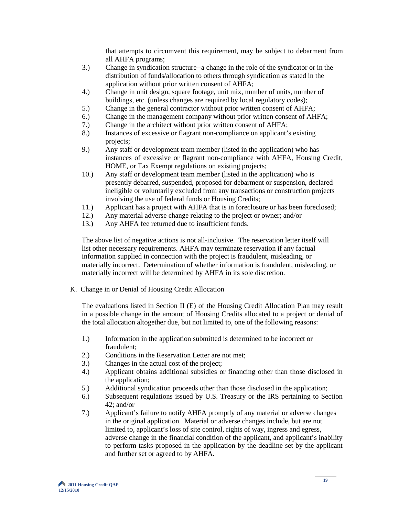that attempts to circumvent this requirement, may be subject to debarment from all AHFA programs;

- 3.) Change in syndication structure--a change in the role of the syndicator or in the distribution of funds/allocation to others through syndication as stated in the application without prior written consent of AHFA;
- 4.) Change in unit design, square footage, unit mix, number of units, number of buildings, etc. (unless changes are required by local regulatory codes);
- 5.) Change in the general contractor without prior written consent of AHFA;
- 6.) Change in the management company without prior written consent of AHFA;
- 7.) Change in the architect without prior written consent of AHFA;
- 8.) Instances of excessive or flagrant non-compliance on applicant's existing projects;
- 9.) Any staff or development team member (listed in the application) who has instances of excessive or flagrant non-compliance with AHFA, Housing Credit, HOME, or Tax Exempt regulations on existing projects;
- 10.) Any staff or development team member (listed in the application) who is presently debarred, suspended, proposed for debarment or suspension, declared ineligible or voluntarily excluded from any transactions or construction projects involving the use of federal funds or Housing Credits;
- 11.) Applicant has a project with AHFA that is in foreclosure or has been foreclosed;<br>12.) Any material adverse change relating to the project or owner; and/or
- 12.) Any material adverse change relating to the project or owner; and/or
- 13.) Any AHFA fee returned due to insufficient funds.

 The above list of negative actions is not all-inclusive. The reservation letter itself will list other necessary requirements. AHFA may terminate reservation if any factual information supplied in connection with the project is fraudulent, misleading, or materially incorrect. Determination of whether information is fraudulent, misleading, or materially incorrect will be determined by AHFA in its sole discretion.

K. Change in or Denial of Housing Credit Allocation

The evaluations listed in Section II (E) of the Housing Credit Allocation Plan may result in a possible change in the amount of Housing Credits allocated to a project or denial of the total allocation altogether due, but not limited to, one of the following reasons:

- 1.) Information in the application submitted is determined to be incorrect or fraudulent;
- 2.) Conditions in the Reservation Letter are not met;
- 3.) Changes in the actual cost of the project;
- 4.) Applicant obtains additional subsidies or financing other than those disclosed in the application;
- 5.) Additional syndication proceeds other than those disclosed in the application;
- 6.) Subsequent regulations issued by U.S. Treasury or the IRS pertaining to Section 42; and/or
- 7.) Applicant's failure to notify AHFA promptly of any material or adverse changes in the original application. Material or adverse changes include, but are not limited to, applicant's loss of site control, rights of way, ingress and egress, adverse change in the financial condition of the applicant, and applicant's inability to perform tasks proposed in the application by the deadline set by the applicant and further set or agreed to by AHFA.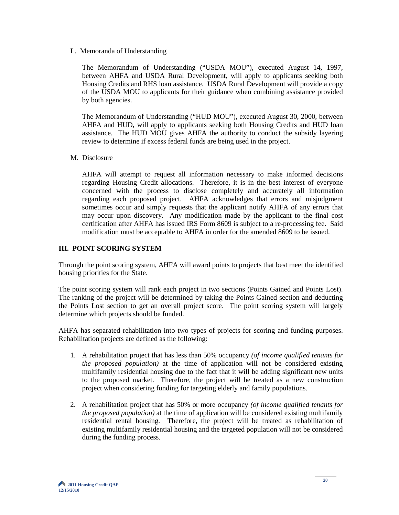L. Memoranda of Understanding

The Memorandum of Understanding ("USDA MOU"), executed August 14, 1997, between AHFA and USDA Rural Development, will apply to applicants seeking both Housing Credits and RHS loan assistance. USDA Rural Development will provide a copy of the USDA MOU to applicants for their guidance when combining assistance provided by both agencies.

The Memorandum of Understanding ("HUD MOU"), executed August 30, 2000, between AHFA and HUD, will apply to applicants seeking both Housing Credits and HUD loan assistance. The HUD MOU gives AHFA the authority to conduct the subsidy layering review to determine if excess federal funds are being used in the project.

M. Disclosure

AHFA will attempt to request all information necessary to make informed decisions regarding Housing Credit allocations. Therefore, it is in the best interest of everyone concerned with the process to disclose completely and accurately all information regarding each proposed project. AHFA acknowledges that errors and misjudgment sometimes occur and simply requests that the applicant notify AHFA of any errors that may occur upon discovery. Any modification made by the applicant to the final cost certification after AHFA has issued IRS Form 8609 is subject to a re-processing fee. Said modification must be acceptable to AHFA in order for the amended 8609 to be issued.

#### **III. POINT SCORING SYSTEM**

Through the point scoring system, AHFA will award points to projects that best meet the identified housing priorities for the State.

The point scoring system will rank each project in two sections (Points Gained and Points Lost). The ranking of the project will be determined by taking the Points Gained section and deducting the Points Lost section to get an overall project score. The point scoring system will largely determine which projects should be funded.

AHFA has separated rehabilitation into two types of projects for scoring and funding purposes. Rehabilitation projects are defined as the following:

- 1. A rehabilitation project that has less than 50% occupancy *(of income qualified tenants for the proposed population)* at the time of application will not be considered existing multifamily residential housing due to the fact that it will be adding significant new units to the proposed market. Therefore, the project will be treated as a new construction project when considering funding for targeting elderly and family populations.
- 2. A rehabilitation project that has 50% or more occupancy *(of income qualified tenants for the proposed population)* at the time of application will be considered existing multifamily residential rental housing. Therefore, the project will be treated as rehabilitation of existing multifamily residential housing and the targeted population will not be considered during the funding process.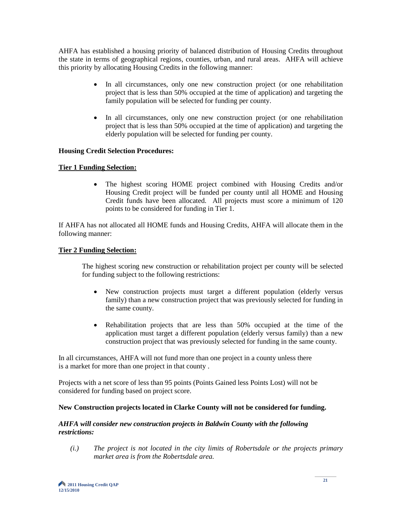AHFA has established a housing priority of balanced distribution of Housing Credits throughout the state in terms of geographical regions, counties, urban, and rural areas. AHFA will achieve this priority by allocating Housing Credits in the following manner:

- In all circumstances, only one new construction project (or one rehabilitation project that is less than 50% occupied at the time of application) and targeting the family population will be selected for funding per county.
- In all circumstances, only one new construction project (or one rehabilitation project that is less than 50% occupied at the time of application) and targeting the elderly population will be selected for funding per county.

#### **Housing Credit Selection Procedures:**

#### **Tier 1 Funding Selection:**

 • The highest scoring HOME project combined with Housing Credits and/or Housing Credit project will be funded per county until all HOME and Housing Credit funds have been allocated. All projects must score a minimum of 120 points to be considered for funding in Tier 1.

If AHFA has not allocated all HOME funds and Housing Credits, AHFA will allocate them in the following manner:

#### **Tier 2 Funding Selection:**

 The highest scoring new construction or rehabilitation project per county will be selected for funding subject to the following restrictions:

- New construction projects must target a different population (elderly versus family) than a new construction project that was previously selected for funding in the same county.
- Rehabilitation projects that are less than 50% occupied at the time of the application must target a different population (elderly versus family) than a new construction project that was previously selected for funding in the same county.

In all circumstances, AHFA will not fund more than one project in a county unless there is a market for more than one project in that county .

Projects with a net score of less than 95 points (Points Gained less Points Lost) will not be considered for funding based on project score.

#### **New Construction projects located in Clarke County will not be considered for funding.**

#### *AHFA will consider new construction projects in Baldwin County with the following restrictions:*

 *(i.) The project is not located in the city limits of Robertsdale or the projects primary market area is from the Robertsdale area.*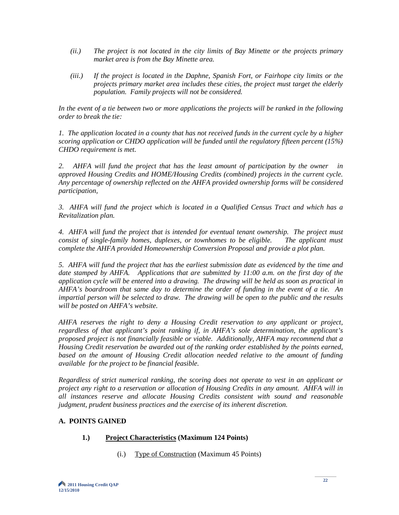- *(ii.) The project is not located in the city limits of Bay Minette or the projects primary market area is from the Bay Minette area.*
- *(iii.) If the project is located in the Daphne, Spanish Fort, or Fairhope city limits or the projects primary market area includes these cities, the project must target the elderly population. Family projects will not be considered.*

*In the event of a tie between two or more applications the projects will be ranked in the following order to break the tie:*

*1. The application located in a county that has not received funds in the current cycle by a higher scoring application or CHDO application will be funded until the regulatory fifteen percent (15%) CHDO requirement is met.* 

*2. AHFA will fund the project that has the least amount of participation by the owner in approved Housing Credits and HOME/Housing Credits (combined) projects in the current cycle. Any percentage of ownership reflected on the AHFA provided ownership forms will be considered participation,* 

*3. AHFA will fund the project which is located in a Qualified Census Tract and which has a Revitalization plan.* 

*4. AHFA will fund the project that is intended for eventual tenant ownership. The project must consist of single-family homes, duplexes, or townhomes to be eligible. The applicant must complete the AHFA provided Homeownership Conversion Proposal and provide a plot plan.* 

*5. AHFA will fund the project that has the earliest submission date as evidenced by the time and date stamped by AHFA. Applications that are submitted by 11:00 a.m. on the first day of the application cycle will be entered into a drawing. The drawing will be held as soon as practical in AHFA's boardroom that same day to determine the order of funding in the event of a tie. An impartial person will be selected to draw. The drawing will be open to the public and the results will be posted on AHFA's website.* 

*AHFA reserves the right to deny a Housing Credit reservation to any applicant or project, regardless of that applicant's point ranking if, in AHFA's sole determination, the applicant's proposed project is not financially feasible or viable. Additionally, AHFA may recommend that a Housing Credit reservation be awarded out of the ranking order established by the points earned, based on the amount of Housing Credit allocation needed relative to the amount of funding available for the project to be financial feasible.*

*Regardless of strict numerical ranking, the scoring does not operate to vest in an applicant or project any right to a reservation or allocation of Housing Credits in any amount. AHFA will in all instances reserve and allocate Housing Credits consistent with sound and reasonable judgment, prudent business practices and the exercise of its inherent discretion.*

## **A. POINTS GAINED**

## **1.) Project Characteristics (Maximum 124 Points)**

(i.) Type of Construction (Maximum 45 Points)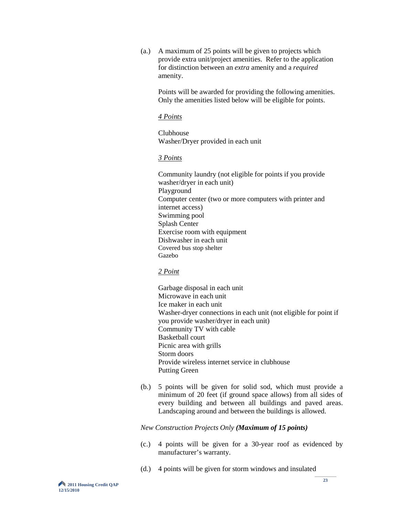(a.) A maximum of 25 points will be given to projects which provide extra unit/project amenities. Refer to the application for distinction between an *extra* amenity and a *required* amenity.

Points will be awarded for providing the following amenities. Only the amenities listed below will be eligible for points.

#### *4 Points*

Clubhouse Washer/Dryer provided in each unit

#### *3 Points*

Community laundry (not eligible for points if you provide washer/dryer in each unit) Playground Computer center (two or more computers with printer and internet access) Swimming pool Splash Center Exercise room with equipment Dishwasher in each unit Covered bus stop shelter Gazebo

#### *2 Point*

Garbage disposal in each unit Microwave in each unit Ice maker in each unit Washer-dryer connections in each unit (not eligible for point if you provide washer/dryer in each unit) Community TV with cable Basketball court Picnic area with grills Storm doors Provide wireless internet service in clubhouse Putting Green

(b.) 5 points will be given for solid sod, which must provide a minimum of 20 feet (if ground space allows) from all sides of every building and between all buildings and paved areas. Landscaping around and between the buildings is allowed.

#### *New Construction Projects Only (Maximum of 15 points)*

- (c.) 4 points will be given for a 30-year roof as evidenced by manufacturer's warranty.
- (d.) 4 points will be given for storm windows and insulated

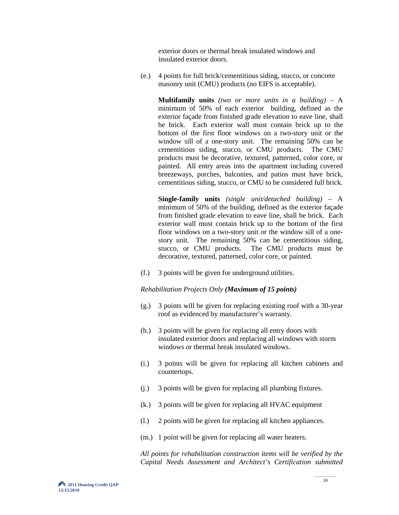exterior doors or thermal break insulated windows and insulated exterior doors.

 (e.) 4 points for full brick/cementitious siding, stucco, or concrete masonry unit (CMU) products (no EIFS is acceptable).

**Multifamily units** *(two or more units in a building)* – A minimum of 50% of each exterior building, defined as the exterior façade from finished grade elevation to eave line, shall be brick. Each exterior wall must contain brick up to the bottom of the first floor windows on a two-story unit or the window sill of a one-story unit. The remaining 50% can be cementitious siding, stucco, or CMU products. The CMU products must be decorative, textured, patterned, color core, or painted. All entry areas into the apartment including covered breezeways, porches, balconies, and patios must have brick, cementitious siding, stucco, or CMU to be considered full brick.

**Single-family units** *(single unit/detached building)* – A minimum of 50% of the building, defined as the exterior façade from finished grade elevation to eave line, shall be brick. Each exterior wall must contain brick up to the bottom of the first floor windows on a two-story unit or the window sill of a onestory unit. The remaining 50% can be cementitious siding, stucco, or CMU products. The CMU products must be decorative, textured, patterned, color core, or painted.

(f.) 3 points will be given for underground utilities.

*Rehabilitation Projects Only (Maximum of 15 points)*

- (g.) 3 points will be given for replacing existing roof with a 30-year roof as evidenced by manufacturer's warranty.
- (h.) 3 points will be given for replacing all entry doors with insulated exterior doors and replacing all windows with storm windows or thermal break insulated windows.
- (i.) 3 points will be given for replacing all kitchen cabinets and countertops.
- (j.) 3 points will be given for replacing all plumbing fixtures.
- (k.) 3 points will be given for replacing all HVAC equipment
- (l.) 2 points will be given for replacing all kitchen appliances.
- (m.) 1 point will be given for replacing all water heaters.

 *All points for rehabilitation construction items will be verified by the Capital Needs Assessment and Architect's Certification submitted*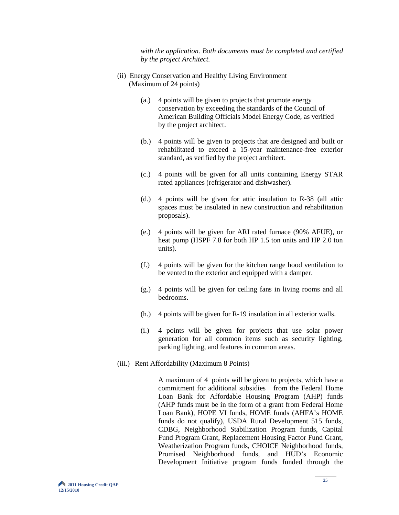*with the application. Both documents must be completed and certified by the project Architect.*

- (ii) Energy Conservation and Healthy Living Environment (Maximum of 24 points)
	- (a.) 4 points will be given to projects that promote energy conservation by exceeding the standards of the Council of American Building Officials Model Energy Code, as verified by the project architect.
	- (b.) 4 points will be given to projects that are designed and built or rehabilitated to exceed a 15-year maintenance-free exterior standard, as verified by the project architect.
	- (c.) 4 points will be given for all units containing Energy STAR rated appliances (refrigerator and dishwasher).
	- (d.) 4 points will be given for attic insulation to R-38 (all attic spaces must be insulated in new construction and rehabilitation proposals).
	- (e.) 4 points will be given for ARI rated furnace (90% AFUE), or heat pump (HSPF 7.8 for both HP 1.5 ton units and HP 2.0 ton units).
	- (f.) 4 points will be given for the kitchen range hood ventilation to be vented to the exterior and equipped with a damper.
	- (g.) 4 points will be given for ceiling fans in living rooms and all bedrooms.
	- (h.) 4 points will be given for R-19 insulation in all exterior walls.
	- (i.) 4 points will be given for projects that use solar power generation for all common items such as security lighting, parking lighting, and features in common areas.
- (iii.) Rent Affordability (Maximum 8 Points)

 A maximum of 4 points will be given to projects, which have a commitment for additional subsidies from the Federal Home Loan Bank for Affordable Housing Program (AHP) funds (AHP funds must be in the form of a grant from Federal Home Loan Bank), HOPE VI funds, HOME funds (AHFA's HOME funds do not qualify), USDA Rural Development 515 funds, CDBG, Neighborhood Stabilization Program funds, Capital Fund Program Grant, Replacement Housing Factor Fund Grant, Weatherization Program funds, CHOICE Neighborhood funds, Promised Neighborhood funds, and HUD's Economic Development Initiative program funds funded through the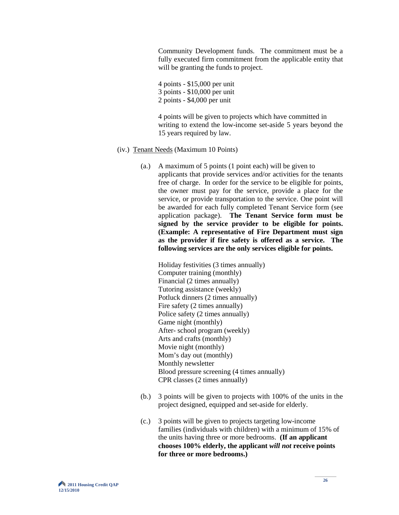Community Development funds. The commitment must be a fully executed firm commitment from the applicable entity that will be granting the funds to project.

 4 points - \$15,000 per unit 3 points - \$10,000 per unit 2 points - \$4,000 per unit

 4 points will be given to projects which have committed in writing to extend the low-income set-aside 5 years beyond the 15 years required by law.

- (iv.) Tenant Needs (Maximum 10 Points)
	- (a.) A maximum of 5 points (1 point each) will be given to applicants that provide services and/or activities for the tenants free of charge. In order for the service to be eligible for points, the owner must pay for the service, provide a place for the service, or provide transportation to the service. One point will be awarded for each fully completed Tenant Service form (see application package). **The Tenant Service form must be signed by the service provider to be eligible for points. (Example: A representative of Fire Department must sign as the provider if fire safety is offered as a service. The following services are the only services eligible for points.**

Holiday festivities (3 times annually) Computer training (monthly) Financial (2 times annually) Tutoring assistance (weekly) Potluck dinners (2 times annually) Fire safety (2 times annually) Police safety (2 times annually) Game night (monthly) After- school program (weekly) Arts and crafts (monthly) Movie night (monthly) Mom's day out (monthly) Monthly newsletter Blood pressure screening (4 times annually) CPR classes (2 times annually)

- (b.) 3 points will be given to projects with 100% of the units in the project designed, equipped and set-aside for elderly.
- (c.) 3 points will be given to projects targeting low-income families (individuals with children) with a minimum of 15% of the units having three or more bedrooms. **(If an applicant chooses 100% elderly, the applicant** *will not* **receive points for three or more bedrooms.)**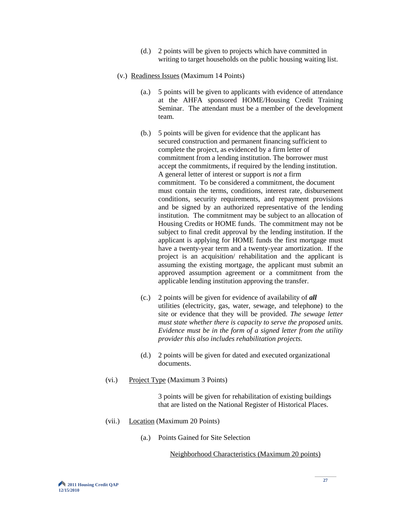- (d.) 2 points will be given to projects which have committed in writing to target households on the public housing waiting list.
- (v.) Readiness Issues (Maximum 14 Points)
	- (a.) 5 points will be given to applicants with evidence of attendance at the AHFA sponsored HOME/Housing Credit Training Seminar. The attendant must be a member of the development team.
	- (b.) 5 points will be given for evidence that the applicant has secured construction and permanent financing sufficient to complete the project, as evidenced by a firm letter of commitment from a lending institution. The borrower must accept the commitments, if required by the lending institution. A general letter of interest or support is *not* a firm commitment. To be considered a commitment, the document must contain the terms, conditions, interest rate, disbursement conditions, security requirements, and repayment provisions and be signed by an authorized representative of the lending institution. The commitment may be subject to an allocation of Housing Credits or HOME funds. The commitment may not be subject to final credit approval by the lending institution. If the applicant is applying for HOME funds the first mortgage must have a twenty-year term and a twenty-year amortization. If the project is an acquisition/ rehabilitation and the applicant is assuming the existing mortgage, the applicant must submit an approved assumption agreement or a commitment from the applicable lending institution approving the transfer.
	- (c.) 2 points will be given for evidence of availability of *all*  utilities (electricity, gas, water, sewage, and telephone) to the site or evidence that they will be provided. *The sewage letter must state whether there is capacity to serve the proposed units. Evidence must be in the form of a signed letter from the utility provider this also includes rehabilitation projects.*
	- (d.) 2 points will be given for dated and executed organizational documents.
- (vi.) Project Type (Maximum 3 Points)

 3 points will be given for rehabilitation of existing buildings that are listed on the National Register of Historical Places.

- (vii.) Location (Maximum 20 Points)
	- (a.) Points Gained for Site Selection

Neighborhood Characteristics (Maximum 20 points)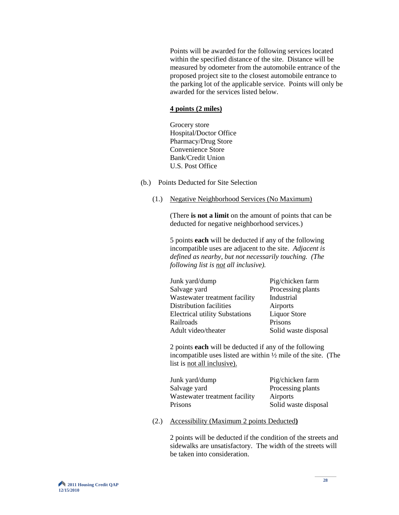Points will be awarded for the following services located within the specified distance of the site. Distance will be measured by odometer from the automobile entrance of the proposed project site to the closest automobile entrance to the parking lot of the applicable service. Points will only be awarded for the services listed below.

#### **4 points (2 miles)**

Grocery store Hospital/Doctor Office Pharmacy/Drug Store Convenience Store Bank/Credit Union U.S. Post Office

- (b.) Points Deducted for Site Selection
	- (1.) Negative Neighborhood Services (No Maximum)

(There **is not a limit** on the amount of points that can be deducted for negative neighborhood services.)

5 points **each** will be deducted if any of the following incompatible uses are adjacent to the site. *Adjacent is defined as nearby, but not necessarily touching. (The following list is not all inclusive).*

| Junk yard/dump                        | Pig/chicken farm     |
|---------------------------------------|----------------------|
| Salvage yard                          | Processing plants    |
| Wastewater treatment facility         | Industrial           |
| Distribution facilities               | Airports             |
| <b>Electrical utility Substations</b> | <b>Liquor Store</b>  |
| Railroads                             | Prisons              |
| Adult video/theater                   | Solid waste disposal |
|                                       |                      |

2 points **each** will be deducted if any of the following incompatible uses listed are within ½ mile of the site. (The list is not all inclusive).

| Junk yard/dump                | Pig/chicken farm     |
|-------------------------------|----------------------|
| Salvage yard                  | Processing plants    |
| Wastewater treatment facility | Airports             |
| Prisons                       | Solid waste disposal |

(2.) Accessibility (Maximum 2 points Deducted**)**

2 points will be deducted if the condition of the streets and sidewalks are unsatisfactory. The width of the streets will be taken into consideration.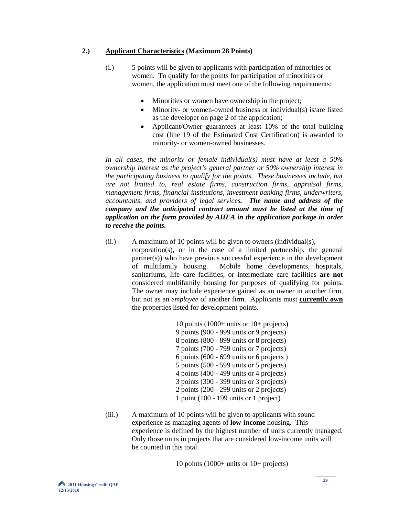#### **2.) Applicant Characteristics (Maximum 28 Points)**

- (i.) 5 points will be given to applicants with participation of minorities or women. To qualify for the points for participation of minorities or women, the application must meet one of the following requirements:
	- Minorities or women have ownership in the project;
	- Minority- or women-owned business or individual(s) is/are listed as the developer on page 2 of the application;
	- Applicant/Owner guarantees at least 10% of the total building cost (line 19 of the Estimated Cost Certification) is awarded to minority- or women-owned businesses.

 *In all cases, the minority or female individual(s) must have at least a 50% ownership interest as the project's general partner or 50% ownership interest in the participating business to qualify for the points. These businesses include, but are not limited to, real estate firms, construction firms, appraisal firms, management firms, financial institutions, investment banking firms, underwriters, accountants, and providers of legal services. The name and address of the company and the anticipated contract amount must be listed at the time of application on the form provided by AHFA in the application package in order to receive the points.*

(ii.) A maximum of 10 points will be given to owners (individual(s), corporation(s), or in the case of a limited partnership, the general partner(s)) who have previous successful experience in the development of multifamily housing. Mobile home developments, hospitals, sanitariums, life care facilities, or intermediate care facilities **are not** considered multifamily housing for purposes of qualifying for points. The owner may include experience gained as an owner in another firm, but not as an *employee* of another firm. Applicants must **currently own** the properties listed for development points.

> 10 points (1000+ units or 10+ projects) 9 points (900 - 999 units or 9 projects) 8 points (800 - 899 units or 8 projects) 7 points (700 - 799 units or 7 projects) 6 points (600 - 699 units or 6 projects ) 5 points (500 - 599 units or 5 projects) 4 points (400 - 499 units or 4 projects) 3 points (300 - 399 units or 3 projects) 2 points (200 - 299 units or 2 projects) 1 point (100 - 199 units or 1 project)

 (iii.) A maximum of 10 points will be given to applicants with sound experience as managing agents of **low-income** housing. This experience is defined by the highest number of units currently managed. Only those units in projects that are considered low-income units will be counted in this total.

10 points (1000+ units or 10+ projects)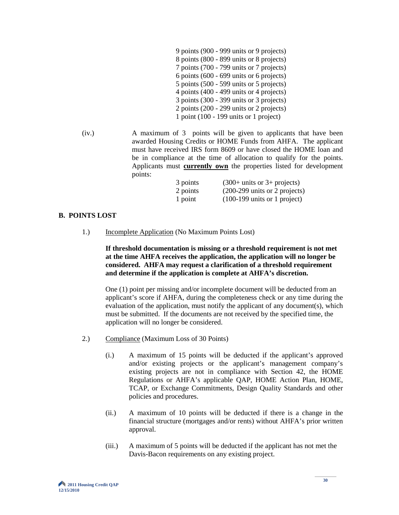| 9 points (900 - 999 units or 9 projects)    |
|---------------------------------------------|
| 8 points (800 - 899 units or 8 projects)    |
| 7 points (700 - 799 units or 7 projects)    |
| 6 points $(600 - 699)$ units or 6 projects) |
| 5 points $(500 - 599)$ units or 5 projects) |
| 4 points $(400 - 499)$ units or 4 projects) |
| 3 points $(300 - 399)$ units or 3 projects) |
| 2 points $(200 - 299)$ units or 2 projects) |
| 1 point $(100 - 199)$ units or 1 project)   |

 (iv.) A maximum of 3 points will be given to applicants that have been awarded Housing Credits or HOME Funds from AHFA. The applicant must have received IRS form 8609 or have closed the HOME loan and be in compliance at the time of allocation to qualify for the points. Applicants must **currently own** the properties listed for development points:

| 3 points | $(300+$ units or 3+ projects)                    |
|----------|--------------------------------------------------|
| 2 points | $(200-299 \text{ units or } 2 \text{ projects})$ |
| 1 point  | $(100-199 \text{ units or } 1 \text{ project})$  |

#### **B. POINTS LOST**

1.) Incomplete Application (No Maximum Points Lost)

 **If threshold documentation is missing or a threshold requirement is not met at the time AHFA receives the application, the application will no longer be considered. AHFA may request a clarification of a threshold requirement and determine if the application is complete at AHFA's discretion.** 

One (1) point per missing and/or incomplete document will be deducted from an applicant's score if AHFA, during the completeness check or any time during the evaluation of the application, must notify the applicant of any document(s), which must be submitted. If the documents are not received by the specified time, the application will no longer be considered.

- 2.) Compliance (Maximum Loss of 30 Points)
	- (i.) A maximum of 15 points will be deducted if the applicant's approved and/or existing projects or the applicant's management company's existing projects are not in compliance with Section 42, the HOME Regulations or AHFA's applicable QAP, HOME Action Plan, HOME, TCAP, or Exchange Commitments, Design Quality Standards and other policies and procedures.
	- (ii.) A maximum of 10 points will be deducted if there is a change in the financial structure (mortgages and/or rents) without AHFA's prior written approval.
	- (iii.) A maximum of 5 points will be deducted if the applicant has not met the Davis-Bacon requirements on any existing project.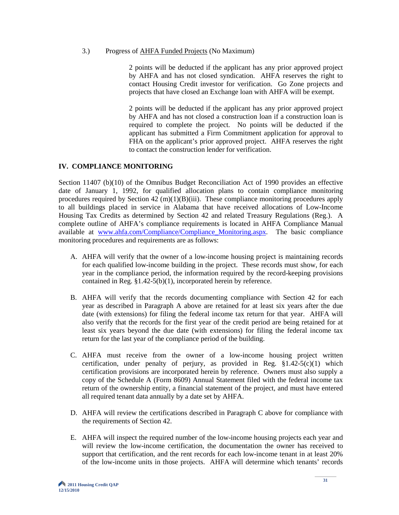#### 3.) Progress of AHFA Funded Projects (No Maximum)

2 points will be deducted if the applicant has any prior approved project by AHFA and has not closed syndication. AHFA reserves the right to contact Housing Credit investor for verification. Go Zone projects and projects that have closed an Exchange loan with AHFA will be exempt.

2 points will be deducted if the applicant has any prior approved project by AHFA and has not closed a construction loan if a construction loan is required to complete the project. No points will be deducted if the applicant has submitted a Firm Commitment application for approval to FHA on the applicant's prior approved project. AHFA reserves the right to contact the construction lender for verification.

#### **IV. COMPLIANCE MONITORING**

Section 11407 (b)(10) of the Omnibus Budget Reconciliation Act of 1990 provides an effective date of January 1, 1992, for qualified allocation plans to contain compliance monitoring procedures required by Section  $42 \text{ (m)}(1)(B)$ (iii). These compliance monitoring procedures apply to all buildings placed in service in Alabama that have received allocations of Low-Income Housing Tax Credits as determined by Section 42 and related Treasury Regulations (Reg.). A complete outline of AHFA's compliance requirements is located in AHFA Compliance Manual available at [www.ahfa.com/Compliance/Compliance\\_Monitoring.aspx.](http://www.ahfa.com/Compliance/Compliance_Monitoring.aspx) The basic compliance monitoring procedures and requirements are as follows:

- A. AHFA will verify that the owner of a low-income housing project is maintaining records for each qualified low-income building in the project. These records must show, for each year in the compliance period, the information required by the record-keeping provisions contained in Reg. §1.42-5(b)(1), incorporated herein by reference.
- B. AHFA will verify that the records documenting compliance with Section 42 for each year as described in Paragraph A above are retained for at least six years after the due date (with extensions) for filing the federal income tax return for that year. AHFA will also verify that the records for the first year of the credit period are being retained for at least six years beyond the due date (with extensions) for filing the federal income tax return for the last year of the compliance period of the building.
- C. AHFA must receive from the owner of a low-income housing project written certification, under penalty of perjury, as provided in Reg.  $\S1.42-5(c)(1)$  which certification provisions are incorporated herein by reference. Owners must also supply a copy of the Schedule A (Form 8609) Annual Statement filed with the federal income tax return of the ownership entity, a financial statement of the project, and must have entered all required tenant data annually by a date set by AHFA.
- D. AHFA will review the certifications described in Paragraph C above for compliance with the requirements of Section 42.
- E. AHFA will inspect the required number of the low-income housing projects each year and will review the low-income certification, the documentation the owner has received to support that certification, and the rent records for each low-income tenant in at least 20% of the low-income units in those projects. AHFA will determine which tenants' records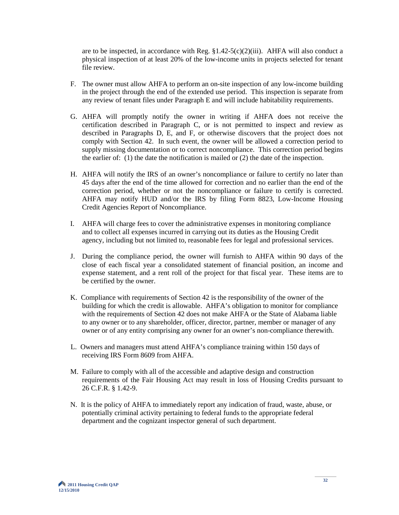are to be inspected, in accordance with Reg.  $\S 1.42 - 5(c)(2)(iii)$ . AHFA will also conduct a physical inspection of at least 20% of the low-income units in projects selected for tenant file review.

- F. The owner must allow AHFA to perform an on-site inspection of any low-income building in the project through the end of the extended use period. This inspection is separate from any review of tenant files under Paragraph E and will include habitability requirements.
- G. AHFA will promptly notify the owner in writing if AHFA does not receive the certification described in Paragraph C, or is not permitted to inspect and review as described in Paragraphs D, E, and F, or otherwise discovers that the project does not comply with Section 42. In such event, the owner will be allowed a correction period to supply missing documentation or to correct noncompliance. This correction period begins the earlier of: (1) the date the notification is mailed or (2) the date of the inspection.
- H. AHFA will notify the IRS of an owner's noncompliance or failure to certify no later than 45 days after the end of the time allowed for correction and no earlier than the end of the correction period, whether or not the noncompliance or failure to certify is corrected. AHFA may notify HUD and/or the IRS by filing Form 8823, Low-Income Housing Credit Agencies Report of Noncompliance.
- I. AHFA will charge fees to cover the administrative expenses in monitoring compliance and to collect all expenses incurred in carrying out its duties as the Housing Credit agency, including but not limited to, reasonable fees for legal and professional services.
- J. During the compliance period, the owner will furnish to AHFA within 90 days of the close of each fiscal year a consolidated statement of financial position, an income and expense statement, and a rent roll of the project for that fiscal year. These items are to be certified by the owner.
- K. Compliance with requirements of Section 42 is the responsibility of the owner of the building for which the credit is allowable. AHFA's obligation to monitor for compliance with the requirements of Section 42 does not make AHFA or the State of Alabama liable to any owner or to any shareholder, officer, director, partner, member or manager of any owner or of any entity comprising any owner for an owner's non-compliance therewith.
- L. Owners and managers must attend AHFA's compliance training within 150 days of receiving IRS Form 8609 from AHFA.
- M. Failure to comply with all of the accessible and adaptive design and construction requirements of the Fair Housing Act may result in loss of Housing Credits pursuant to 26 C.F.R. § 1.42-9.
- N. It is the policy of AHFA to immediately report any indication of fraud, waste, abuse, or potentially criminal activity pertaining to federal funds to the appropriate federal department and the cognizant inspector general of such department.

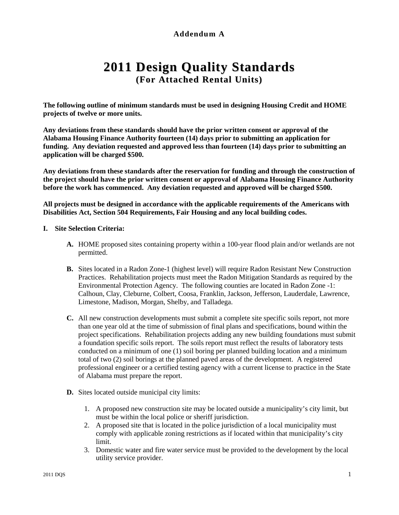# **Addendum A**

# **2011 Design Quality Standards (For Attached Rental Units)**

**The following outline of minimum standards must be used in designing Housing Credit and HOME projects of twelve or more units.**

**Any deviations from these standards should have the prior written consent or approval of the Alabama Housing Finance Authority fourteen (14) days prior to submitting an application for funding. Any deviation requested and approved less than fourteen (14) days prior to submitting an application will be charged \$500.** 

**Any deviations from these standards after the reservation for funding and through the construction of the project should have the prior written consent or approval of Alabama Housing Finance Authority before the work has commenced. Any deviation requested and approved will be charged \$500.** 

**All projects must be designed in accordance with the applicable requirements of the Americans with Disabilities Act, Section 504 Requirements, Fair Housing and any local building codes.**

#### **I. Site Selection Criteria:**

- **A.** HOME proposed sites containing property within a 100-year flood plain and/or wetlands are not permitted.
- **B.** Sites located in a Radon Zone-1 (highest level) will require Radon Resistant New Construction Practices. Rehabilitation projects must meet the Radon Mitigation Standards as required by the Environmental Protection Agency. The following counties are located in Radon Zone -1: Calhoun, Clay, Cleburne, Colbert, Coosa, Franklin, Jackson, Jefferson, Lauderdale, Lawrence, Limestone, Madison, Morgan, Shelby, and Talladega.
- **C.** All new construction developments must submit a complete site specific soils report, not more than one year old at the time of submission of final plans and specifications, bound within the project specifications. Rehabilitation projects adding any new building foundations must submit a foundation specific soils report. The soils report must reflect the results of laboratory tests conducted on a minimum of one (1) soil boring per planned building location and a minimum total of two (2) soil borings at the planned paved areas of the development. A registered professional engineer or a certified testing agency with a current license to practice in the State of Alabama must prepare the report.
- **D.** Sites located outside municipal city limits:
	- 1. A proposed new construction site may be located outside a municipality's city limit, but must be within the local police or sheriff jurisdiction.
	- 2. A proposed site that is located in the police jurisdiction of a local municipality must comply with applicable zoning restrictions as if located within that municipality's city limit.
	- 3. Domestic water and fire water service must be provided to the development by the local utility service provider.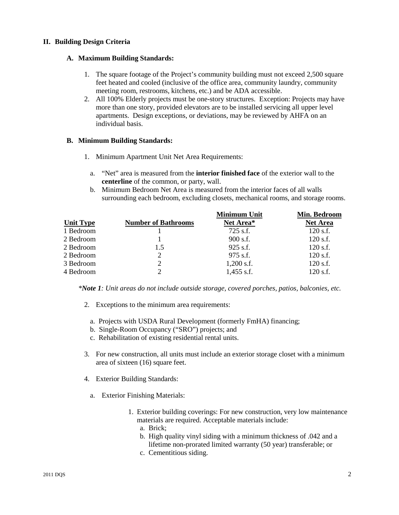#### **II. Building Design Criteria**

#### **A. Maximum Building Standards:**

- 1. The square footage of the Project's community building must not exceed 2,500 square feet heated and cooled (inclusive of the office area, community laundry, community meeting room, restrooms, kitchens, etc.) and be ADA accessible.
- 2. All 100% Elderly projects must be one-story structures. Exception: Projects may have more than one story, provided elevators are to be installed servicing all upper level apartments. Design exceptions, or deviations, may be reviewed by AHFA on an individual basis.

#### **B. Minimum Building Standards:**

- 1. Minimum Apartment Unit Net Area Requirements:
	- a. "Net" area is measured from the **interior finished face** of the exterior wall to the **centerline** of the common, or party, wall.
	- b. Minimum Bedroom Net Area is measured from the interior faces of all walls surrounding each bedroom, excluding closets, mechanical rooms, and storage rooms.

|                  |                            | <b>Minimum Unit</b> | Min. Bedroom    |
|------------------|----------------------------|---------------------|-----------------|
| <b>Unit Type</b> | <b>Number of Bathrooms</b> | Net Area*           | <b>Net Area</b> |
| 1 Bedroom        |                            | 725 s.f.            | $120$ s.f.      |
| 2 Bedroom        |                            | $900$ s.f.          | $120$ s.f.      |
| 2 Bedroom        | 1.5                        | $925$ s.f.          | $120$ s.f.      |
| 2 Bedroom        | 2                          | 975 s.f.            | $120$ s.f.      |
| 3 Bedroom        | 2                          | $1,200$ s.f.        | $120$ s.f.      |
| 4 Bedroom        | $\mathcal{D}$              | $1,455$ s.f.        | $120$ s.f.      |

*\*Note 1: Unit areas do not include outside storage, covered porches, patios, balconies, etc.* 

- 2. Exceptions to the minimum area requirements:
	- a. Projects with USDA Rural Development (formerly FmHA) financing;
	- b. Single-Room Occupancy ("SRO") projects; and
	- c. Rehabilitation of existing residential rental units.
- 3. For new construction, all units must include an exterior storage closet with a minimum area of sixteen (16) square feet.
- 4. Exterior Building Standards:
	- a. Exterior Finishing Materials:
		- 1. Exterior building coverings: For new construction, very low maintenance materials are required. Acceptable materials include:
			- a. Brick;
			- b. High quality vinyl siding with a minimum thickness of .042 and a lifetime non-prorated limited warranty (50 year) transferable; or
			- c. Cementitious siding.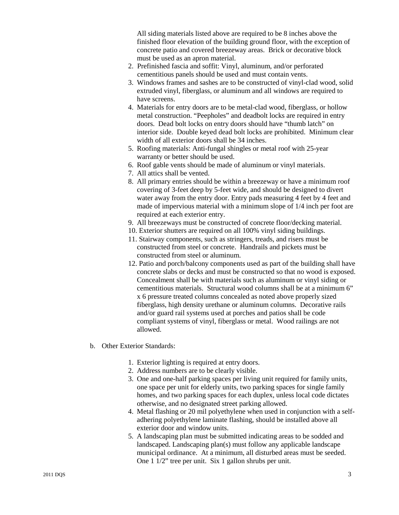All siding materials listed above are required to be 8 inches above the finished floor elevation of the building ground floor, with the exception of concrete patio and covered breezeway areas. Brick or decorative block must be used as an apron material.

- 2. Prefinished fascia and soffit: Vinyl, aluminum, and/or perforated cementitious panels should be used and must contain vents.
- 3. Windows frames and sashes are to be constructed of vinyl-clad wood, solid extruded vinyl, fiberglass, or aluminum and all windows are required to have screens.
- 4. Materials for entry doors are to be metal-clad wood, fiberglass, or hollow metal construction. "Peepholes" and deadbolt locks are required in entry doors. Dead bolt locks on entry doors should have "thumb latch" on interior side. Double keyed dead bolt locks are prohibited. Minimum clear width of all exterior doors shall be 34 inches.
- 5. Roofing materials: Anti-fungal shingles or metal roof with 25-year warranty or better should be used.
- 6. Roof gable vents should be made of aluminum or vinyl materials.
- 7. All attics shall be vented.
- 8. All primary entries should be within a breezeway or have a minimum roof covering of 3-feet deep by 5-feet wide, and should be designed to divert water away from the entry door. Entry pads measuring 4 feet by 4 feet and made of impervious material with a minimum slope of 1/4 inch per foot are required at each exterior entry.
- 9. All breezeways must be constructed of concrete floor/decking material.
- 10. Exterior shutters are required on all 100% vinyl siding buildings.
- 11. Stairway components, such as stringers, treads, and risers must be constructed from steel or concrete. Handrails and pickets must be constructed from steel or aluminum.
- 12. Patio and porch/balcony components used as part of the building shall have concrete slabs or decks and must be constructed so that no wood is exposed. Concealment shall be with materials such as aluminum or vinyl siding or cementitious materials. Structural wood columns shall be at a minimum 6" x 6 pressure treated columns concealed as noted above properly sized fiberglass, high density urethane or aluminum columns. Decorative rails and/or guard rail systems used at porches and patios shall be code compliant systems of vinyl, fiberglass or metal. Wood railings are not allowed.
- b. Other Exterior Standards:
	- 1. Exterior lighting is required at entry doors.
	- 2. Address numbers are to be clearly visible.
	- 3. One and one-half parking spaces per living unit required for family units, one space per unit for elderly units, two parking spaces for single family homes, and two parking spaces for each duplex, unless local code dictates otherwise, and no designated street parking allowed.
	- 4. Metal flashing or 20 mil polyethylene when used in conjunction with a selfadhering polyethylene laminate flashing, should be installed above all exterior door and window units.
	- 5. A landscaping plan must be submitted indicating areas to be sodded and landscaped. Landscaping plan(s) must follow any applicable landscape municipal ordinance. At a minimum, all disturbed areas must be seeded. One 1 1/2" tree per unit. Six 1 gallon shrubs per unit.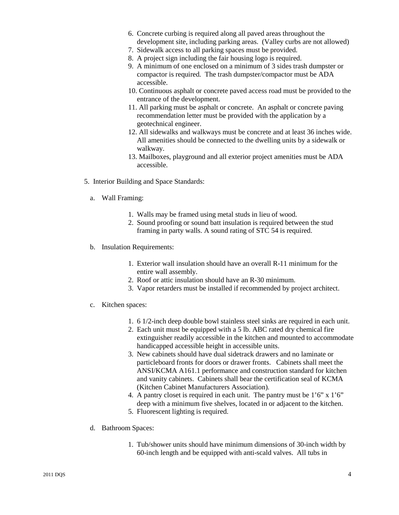- 6. Concrete curbing is required along all paved areas throughout the development site, including parking areas. (Valley curbs are not allowed)
- 7. Sidewalk access to all parking spaces must be provided.
- 8. A project sign including the fair housing logo is required.
- 9. A minimum of one enclosed on a minimum of 3 sides trash dumpster or compactor is required. The trash dumpster/compactor must be ADA accessible.
- 10. Continuous asphalt or concrete paved access road must be provided to the entrance of the development.
- 11. All parking must be asphalt or concrete. An asphalt or concrete paving recommendation letter must be provided with the application by a geotechnical engineer.
- 12. All sidewalks and walkways must be concrete and at least 36 inches wide. All amenities should be connected to the dwelling units by a sidewalk or walkway.
- 13. Mailboxes, playground and all exterior project amenities must be ADA accessible.
- 5. Interior Building and Space Standards:
	- a. Wall Framing:
		- 1. Walls may be framed using metal studs in lieu of wood.
		- 2. Sound proofing or sound batt insulation is required between the stud framing in party walls. A sound rating of STC 54 is required.
	- b. Insulation Requirements:
		- 1. Exterior wall insulation should have an overall R-11 minimum for the entire wall assembly.
		- 2. Roof or attic insulation should have an R-30 minimum.
		- 3. Vapor retarders must be installed if recommended by project architect.
	- c. Kitchen spaces:
		- 1. 6 1/2-inch deep double bowl stainless steel sinks are required in each unit.
		- 2. Each unit must be equipped with a 5 lb. ABC rated dry chemical fire extinguisher readily accessible in the kitchen and mounted to accommodate handicapped accessible height in accessible units.
		- 3. New cabinets should have dual sidetrack drawers and no laminate or particleboard fronts for doors or drawer fronts. Cabinets shall meet the ANSI/KCMA A161.1 performance and construction standard for kitchen and vanity cabinets. Cabinets shall bear the certification seal of KCMA (Kitchen Cabinet Manufacturers Association).
		- 4. A pantry closet is required in each unit. The pantry must be 1'6" x 1'6" deep with a minimum five shelves, located in or adjacent to the kitchen.
		- 5. Fluorescent lighting is required.
	- d. Bathroom Spaces:
		- 1. Tub/shower units should have minimum dimensions of 30-inch width by 60-inch length and be equipped with anti-scald valves. All tubs in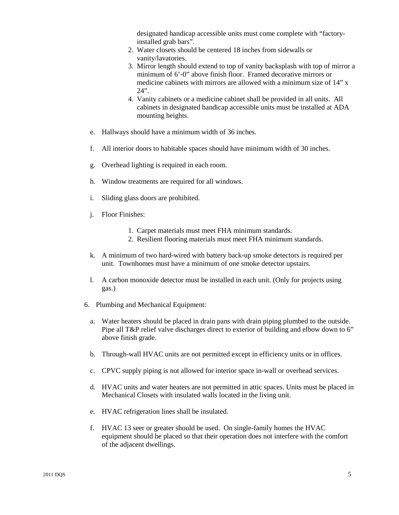designated handicap accessible units must come complete with "factoryinstalled grab bars".

- 2. Water closets should be centered 18 inches from sidewalls or vanity/lavatories.
- 3. Mirror length should extend to top of vanity backsplash with top of mirror a minimum of 6'-0" above finish floor. Framed decorative mirrors or medicine cabinets with mirrors are allowed with a minimum size of 14" x  $24"$
- 4. Vanity cabinets or a medicine cabinet shall be provided in all units. All cabinets in designated handicap accessible units must be installed at ADA mounting heights.
- e. Hallways should have a minimum width of 36 inches.
- f. All interior doors to habitable spaces should have minimum width of 30 inches.
- g. Overhead lighting is required in each room.
- h. Window treatments are required for all windows.
- i. Sliding glass doors are prohibited.
- j. Floor Finishes:
	- 1. Carpet materials must meet FHA minimum standards.
	- 2. Resilient flooring materials must meet FHA minimum standards.
- k. A minimum of two hard-wired with battery back-up smoke detectors is required per unit. Townhomes must have a minimum of one smoke detector upstairs.
- l. A carbon monoxide detector must be installed in each unit. (Only for projects using gas.)
- 6. Plumbing and Mechanical Equipment:
	- a. Water heaters should be placed in drain pans with drain piping plumbed to the outside. Pipe all T&P relief valve discharges direct to exterior of building and elbow down to 6" above finish grade.
	- b. Through-wall HVAC units are not permitted except in efficiency units or in offices.
	- c. CPVC supply piping is not allowed for interior space in-wall or overhead services.
	- d. HVAC units and water heaters are not permitted in attic spaces. Units must be placed in Mechanical Closets with insulated walls located in the living unit.
	- e. HVAC refrigeration lines shall be insulated.
	- f. HVAC 13 seer or greater should be used. On single-family homes the HVAC equipment should be placed so that their operation does not interfere with the comfort of the adjacent dwellings.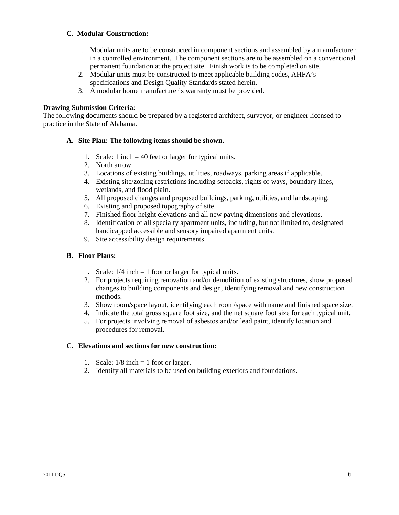#### **C. Modular Construction:**

- 1. Modular units are to be constructed in component sections and assembled by a manufacturer in a controlled environment. The component sections are to be assembled on a conventional permanent foundation at the project site. Finish work is to be completed on site.
- 2. Modular units must be constructed to meet applicable building codes, AHFA's specifications and Design Quality Standards stated herein.
- 3. A modular home manufacturer's warranty must be provided.

#### **Drawing Submission Criteria:**

The following documents should be prepared by a registered architect, surveyor, or engineer licensed to practice in the State of Alabama.

#### **A. Site Plan: The following items should be shown.**

- 1. Scale: 1 inch = 40 feet or larger for typical units.
- 2. North arrow.
- 3. Locations of existing buildings, utilities, roadways, parking areas if applicable.
- 4. Existing site/zoning restrictions including setbacks, rights of ways, boundary lines, wetlands, and flood plain.
- 5. All proposed changes and proposed buildings, parking, utilities, and landscaping.
- 6. Existing and proposed topography of site.
- 7. Finished floor height elevations and all new paving dimensions and elevations.
- 8. Identification of all specialty apartment units, including, but not limited to, designated handicapped accessible and sensory impaired apartment units.
- 9. Site accessibility design requirements.

#### **B. Floor Plans:**

- 1. Scale:  $1/4$  inch = 1 foot or larger for typical units.
- 2. For projects requiring renovation and/or demolition of existing structures, show proposed changes to building components and design, identifying removal and new construction methods.
- 3. Show room/space layout, identifying each room/space with name and finished space size.
- 4. Indicate the total gross square foot size, and the net square foot size for each typical unit.
- 5. For projects involving removal of asbestos and/or lead paint, identify location and procedures for removal.

#### **C. Elevations and sections for new construction:**

- 1. Scale:  $1/8$  inch = 1 foot or larger.
- 2. Identify all materials to be used on building exteriors and foundations.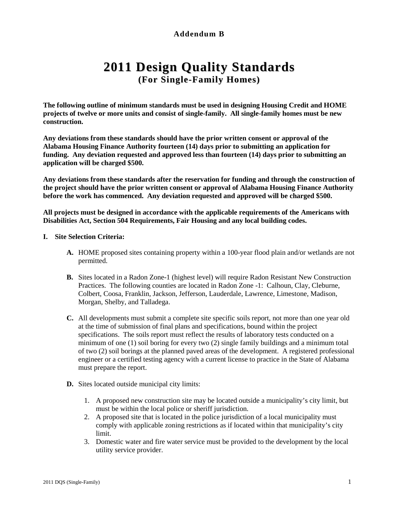# **Addendum B**

# **2011 Design Quality Standards (For Single-Family Homes)**

**The following outline of minimum standards must be used in designing Housing Credit and HOME projects of twelve or more units and consist of single-family. All single-family homes must be new construction.**

**Any deviations from these standards should have the prior written consent or approval of the Alabama Housing Finance Authority fourteen (14) days prior to submitting an application for funding. Any deviation requested and approved less than fourteen (14) days prior to submitting an application will be charged \$500.** 

**Any deviations from these standards after the reservation for funding and through the construction of the project should have the prior written consent or approval of Alabama Housing Finance Authority before the work has commenced. Any deviation requested and approved will be charged \$500.** 

**All projects must be designed in accordance with the applicable requirements of the Americans with Disabilities Act, Section 504 Requirements, Fair Housing and any local building codes.**

#### **I. Site Selection Criteria:**

- **A.** HOME proposed sites containing property within a 100-year flood plain and/or wetlands are not permitted.
- **B.** Sites located in a Radon Zone-1 (highest level) will require Radon Resistant New Construction Practices. The following counties are located in Radon Zone -1: Calhoun, Clay, Cleburne, Colbert, Coosa, Franklin, Jackson, Jefferson, Lauderdale, Lawrence, Limestone, Madison, Morgan, Shelby, and Talladega.
- **C.** All developments must submit a complete site specific soils report, not more than one year old at the time of submission of final plans and specifications, bound within the project specifications. The soils report must reflect the results of laboratory tests conducted on a minimum of one (1) soil boring for every two (2) single family buildings and a minimum total of two (2) soil borings at the planned paved areas of the development. A registered professional engineer or a certified testing agency with a current license to practice in the State of Alabama must prepare the report.
- **D.** Sites located outside municipal city limits:
	- 1. A proposed new construction site may be located outside a municipality's city limit, but must be within the local police or sheriff jurisdiction.
	- 2. A proposed site that is located in the police jurisdiction of a local municipality must comply with applicable zoning restrictions as if located within that municipality's city limit.
	- 3. Domestic water and fire water service must be provided to the development by the local utility service provider.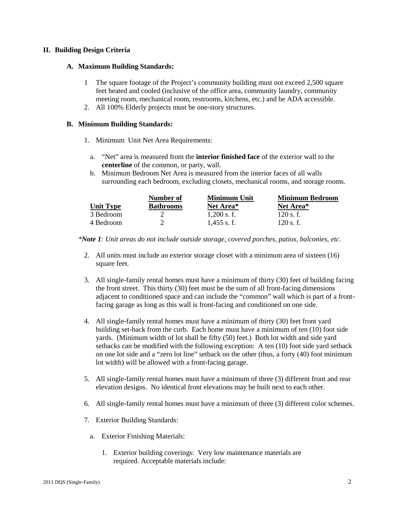#### **II. Building Design Criteria**

#### **A. Maximum Building Standards:**

- 1 The square footage of the Project's community building must not exceed 2,500 square feet heated and cooled (inclusive of the office area, community laundry, community meeting room, mechanical room, restrooms, kitchens, etc.) and be ADA accessible.
- 2. All 100% Elderly projects must be one-story structures.

#### **B. Minimum Building Standards:**

- 1. Minimum Unit Net Area Requirements:
	- a. "Net" area is measured from the **interior finished face** of the exterior wall to the **centerline** of the common, or party, wall.
	- b. Minimum Bedroom Net Area is measured from the interior faces of all walls surrounding each bedroom, excluding closets, mechanical rooms, and storage rooms.

|           | Number of        | Minimum Unit  | <b>Minimum Bedroom</b> |
|-----------|------------------|---------------|------------------------|
| Unit Tvpe | <b>Bathrooms</b> | Net Area*     | Net Area*              |
| 3 Bedroom |                  | $1.200$ s. f. | 120 s.f.               |
| 4 Bedroom |                  | $1.455$ s.f.  | 120 s.f.               |

*\*Note 1: Unit areas do not include outside storage, covered porches, patios, balconies, etc.* 

- 2. All units must include an exterior storage closet with a minimum area of sixteen (16) square feet.
- 3. All single-family rental homes must have a minimum of thirty (30) feet of building facing the front street. This thirty (30) feet must be the sum of all front-facing dimensions adjacent to conditioned space and can include the "common" wall which is part of a frontfacing garage as long as this wall is front-facing and conditioned on one side.
- 4. All single-family rental homes must have a minimum of thirty (30) feet front yard building set-back from the curb. Each home must have a minimum of ten (10) foot side yards. (Minimum width of lot shall be fifty (50) feet.) Both lot width and side yard setbacks can be modified with the following exception: A ten (10) foot side yard setback on one lot side and a "zero lot line" setback on the other (thus, a forty (40) foot minimum lot width) will be allowed with a front-facing garage.
- 5. All single-family rental homes must have a minimum of three (3) different front and rear elevation designs. No identical front elevations may be built next to each other.
- 6. All single-family rental homes must have a minimum of three (3) different color schemes.
- 7. Exterior Building Standards:
	- a. Exterior Finishing Materials:
		- 1. Exterior building coverings: Very low maintenance materials are required. Acceptable materials include: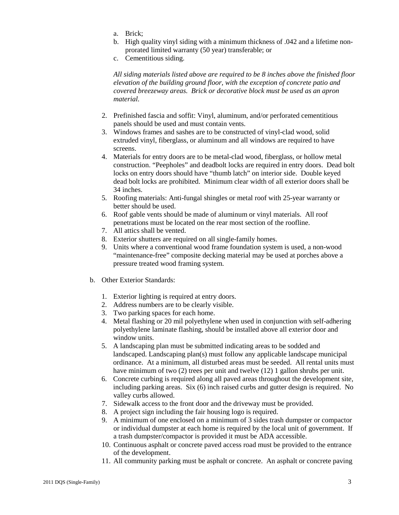- a. Brick;
- b. High quality vinyl siding with a minimum thickness of .042 and a lifetime nonprorated limited warranty (50 year) transferable; or
- c. Cementitious siding.

 *All siding materials listed above are required to be 8 inches above the finished floor elevation of the building ground floor, with the exception of concrete patio and covered breezeway areas. Brick or decorative block must be used as an apron material.*

- 2. Prefinished fascia and soffit: Vinyl, aluminum, and/or perforated cementitious panels should be used and must contain vents.
- 3. Windows frames and sashes are to be constructed of vinyl-clad wood, solid extruded vinyl, fiberglass, or aluminum and all windows are required to have screens.
- 4. Materials for entry doors are to be metal-clad wood, fiberglass, or hollow metal construction. "Peepholes" and deadbolt locks are required in entry doors. Dead bolt locks on entry doors should have "thumb latch" on interior side. Double keyed dead bolt locks are prohibited. Minimum clear width of all exterior doors shall be 34 inches.
- 5. Roofing materials: Anti-fungal shingles or metal roof with 25-year warranty or better should be used.
- 6. Roof gable vents should be made of aluminum or vinyl materials. All roof penetrations must be located on the rear most section of the roofline.
- 7. All attics shall be vented.
- 8. Exterior shutters are required on all single-family homes.
- 9. Units where a conventional wood frame foundation system is used, a non-wood "maintenance-free" composite decking material may be used at porches above a pressure treated wood framing system.
- b. Other Exterior Standards:
	- 1. Exterior lighting is required at entry doors.
	- 2. Address numbers are to be clearly visible.
	- 3. Two parking spaces for each home.
	- 4. Metal flashing or 20 mil polyethylene when used in conjunction with self-adhering polyethylene laminate flashing, should be installed above all exterior door and window units.
	- 5. A landscaping plan must be submitted indicating areas to be sodded and landscaped. Landscaping plan(s) must follow any applicable landscape municipal ordinance. At a minimum, all disturbed areas must be seeded. All rental units must have minimum of two (2) trees per unit and twelve (12) 1 gallon shrubs per unit.
	- 6. Concrete curbing is required along all paved areas throughout the development site, including parking areas. Six (6) inch raised curbs and gutter design is required. No valley curbs allowed.
	- 7. Sidewalk access to the front door and the driveway must be provided.
	- 8. A project sign including the fair housing logo is required.
	- 9. A minimum of one enclosed on a minimum of 3 sides trash dumpster or compactor or individual dumpster at each home is required by the local unit of government. If a trash dumpster/compactor is provided it must be ADA accessible.
	- 10. Continuous asphalt or concrete paved access road must be provided to the entrance of the development.
	- 11. All community parking must be asphalt or concrete. An asphalt or concrete paving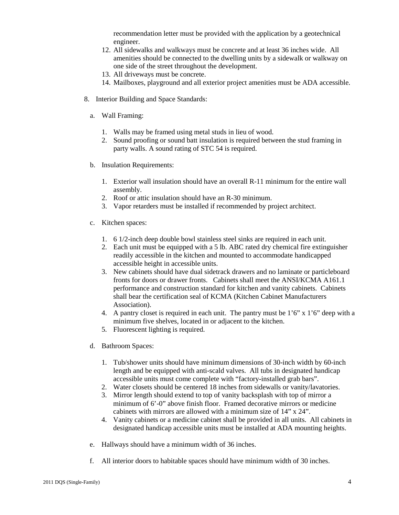recommendation letter must be provided with the application by a geotechnical engineer.

- 12. All sidewalks and walkways must be concrete and at least 36 inches wide. All amenities should be connected to the dwelling units by a sidewalk or walkway on one side of the street throughout the development.
- 13. All driveways must be concrete.
- 14. Mailboxes, playground and all exterior project amenities must be ADA accessible.
- 8. Interior Building and Space Standards:
	- a. Wall Framing:
		- 1. Walls may be framed using metal studs in lieu of wood.
		- 2. Sound proofing or sound batt insulation is required between the stud framing in party walls. A sound rating of STC 54 is required.
	- b. Insulation Requirements:
		- 1. Exterior wall insulation should have an overall R-11 minimum for the entire wall assembly.
		- 2. Roof or attic insulation should have an R-30 minimum.
		- 3. Vapor retarders must be installed if recommended by project architect.
	- c. Kitchen spaces:
		- 1. 6 1/2-inch deep double bowl stainless steel sinks are required in each unit.
		- 2. Each unit must be equipped with a 5 lb. ABC rated dry chemical fire extinguisher readily accessible in the kitchen and mounted to accommodate handicapped accessible height in accessible units.
		- 3. New cabinets should have dual sidetrack drawers and no laminate or particleboard fronts for doors or drawer fronts. Cabinets shall meet the ANSI/KCMA A161.1 performance and construction standard for kitchen and vanity cabinets. Cabinets shall bear the certification seal of KCMA (Kitchen Cabinet Manufacturers Association).
		- 4. A pantry closet is required in each unit. The pantry must be  $1'6''$  x  $1'6''$  deep with a minimum five shelves, located in or adjacent to the kitchen.
		- 5. Fluorescent lighting is required.
	- d. Bathroom Spaces:
		- 1. Tub/shower units should have minimum dimensions of 30-inch width by 60-inch length and be equipped with anti-scald valves. All tubs in designated handicap accessible units must come complete with "factory-installed grab bars".
		- 2. Water closets should be centered 18 inches from sidewalls or vanity/lavatories.
		- 3. Mirror length should extend to top of vanity backsplash with top of mirror a minimum of 6'-0" above finish floor. Framed decorative mirrors or medicine cabinets with mirrors are allowed with a minimum size of 14" x 24".
		- 4. Vanity cabinets or a medicine cabinet shall be provided in all units. All cabinets in designated handicap accessible units must be installed at ADA mounting heights.
	- e. Hallways should have a minimum width of 36 inches.
	- f. All interior doors to habitable spaces should have minimum width of 30 inches.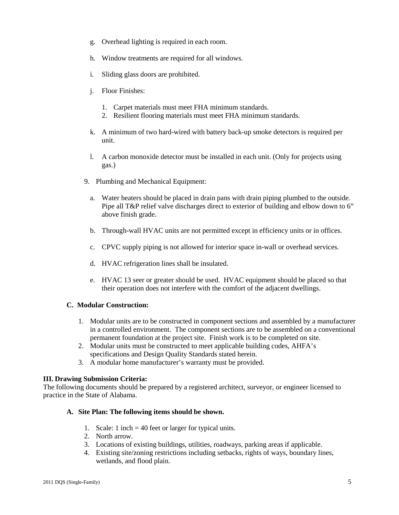- g. Overhead lighting is required in each room.
- h. Window treatments are required for all windows.
- i. Sliding glass doors are prohibited.
- j. Floor Finishes:
	- 1. Carpet materials must meet FHA minimum standards.
	- 2. Resilient flooring materials must meet FHA minimum standards.
- k. A minimum of two hard-wired with battery back-up smoke detectors is required per unit.
- l. A carbon monoxide detector must be installed in each unit. (Only for projects using gas.)
- 9. Plumbing and Mechanical Equipment:
	- a. Water heaters should be placed in drain pans with drain piping plumbed to the outside. Pipe all T&P relief valve discharges direct to exterior of building and elbow down to 6" above finish grade.
	- b. Through-wall HVAC units are not permitted except in efficiency units or in offices.
	- c. CPVC supply piping is not allowed for interior space in-wall or overhead services.
	- d. HVAC refrigeration lines shall be insulated.
	- e. HVAC 13 seer or greater should be used. HVAC equipment should be placed so that their operation does not interfere with the comfort of the adjacent dwellings.

#### **C. Modular Construction:**

- 1. Modular units are to be constructed in component sections and assembled by a manufacturer in a controlled environment. The component sections are to be assembled on a conventional permanent foundation at the project site. Finish work is to be completed on site.
- 2. Modular units must be constructed to meet applicable building codes, AHFA's specifications and Design Quality Standards stated herein.
- 3. A modular home manufacturer's warranty must be provided.

#### **III. Drawing Submission Criteria:**

The following documents should be prepared by a registered architect, surveyor, or engineer licensed to practice in the State of Alabama.

#### **A. Site Plan: The following items should be shown.**

- 1. Scale: 1 inch = 40 feet or larger for typical units.
- 2. North arrow.
- 3. Locations of existing buildings, utilities, roadways, parking areas if applicable.
- 4. Existing site/zoning restrictions including setbacks, rights of ways, boundary lines, wetlands, and flood plain.